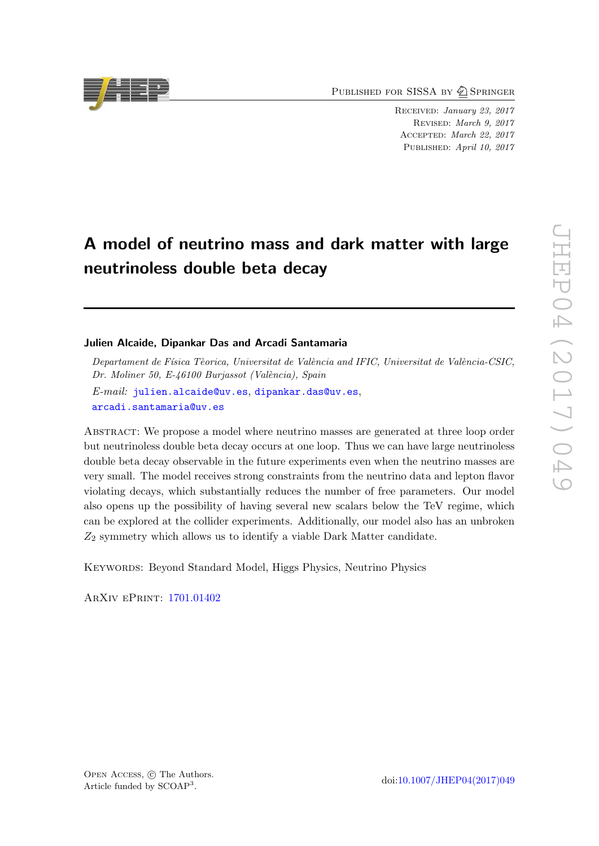PUBLISHED FOR SISSA BY 2 SPRINGER

RECEIVED: January 23, 2017 Revised : March 9, 2017 Accepted : March 22, 2017 PUBLISHED: April 10, 2017

# A model of neutrino mass and dark matter with large neutrinoless double beta decay

## Julien Alcaide, Dipankar Das and Arcadi Santamaria

Departament de Física Tèorica, Universitat de València and IFIC, Universitat de València-CSIC, Dr. Moliner 50, E-46100 Burjassot (València), Spain

 $E\text{-}mail:$  [julien.alcaide@uv.es](mailto:julien.alcaide@uv.es), [dipankar.das@uv.es](mailto:dipankar.das@uv.es), [arcadi.santamaria@uv.es](mailto:arcadi.santamaria@uv.es)

Abstract: We propose a model where neutrino masses are generated at three loop order but neutrinoless double beta decay occurs at one loop. Thus we can have large neutrinoless double beta decay observable in the future experiments even when the neutrino masses are very small. The model receives strong constraints from the neutrino data and lepton flavor violating decays, which substantially reduces the number of free parameters. Our model also opens up the possibility of having several new scalars below the TeV regime, which can be explored at the collider experiments. Additionally, our model also has an unbroken  $Z_2$  symmetry which allows us to identify a viable Dark Matter candidate.

Keywords: Beyond Standard Model, Higgs Physics, Neutrino Physics

ArXiv ePrint: [1701.01402](https://arxiv.org/abs/1701.01402)



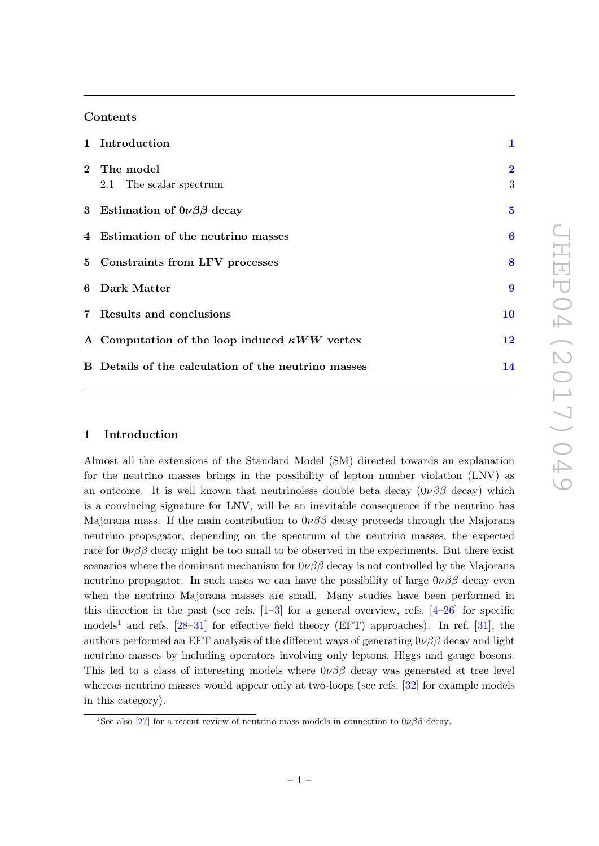# Contents

| 1 Introduction                                       | $\mathbf{1}$                 |
|------------------------------------------------------|------------------------------|
| 2 The model<br>2.1 The scalar spectrum               | $\overline{\mathbf{2}}$<br>3 |
| 3 Estimation of $0\nu\beta\beta$ decay               | $\overline{5}$               |
| 4 Estimation of the neutrino masses                  | $\boldsymbol{6}$             |
| 5 Constraints from LFV processes                     | 8                            |
| 6 Dark Matter                                        | $\boldsymbol{9}$             |
| 7 Results and conclusions                            | 10                           |
| A Computation of the loop induced $\kappa WW$ vertex | 12                           |
| B Details of the calculation of the neutrino masses  | 14                           |

# <span id="page-1-0"></span>1 Introduction

Almost all the extensions of the Standard Model (SM) directed towards an explanation for the neutrino masses brings in the possibility of lepton number violation (LNV) as an outcome. It is well known that neutrinoless double beta decay  $(0\nu\beta\beta \text{ decay})$  which is a convincing signature for LNV, will be an inevitable consequence if the neutrino has Majorana mass. If the main contribution to  $0\nu\beta\beta$  decay proceeds through the Majorana neutrino propagator, depending on the spectrum of the neutrino masses, the expected rate for  $0\nu\beta\beta$  decay might be too small to be observed in the experiments. But there exist scenarios where the dominant mechanism for  $0\nu\beta\beta$  decay is not controlled by the Majorana neutrino propagator. In such cases we can have the possibility of large  $0\nu\beta\beta$  decay even when the neutrino Majorana masses are small. Many studies have been performed in this direction in the past (see refs.  $[1-3]$  $[1-3]$  $[1-3]$  $[1-3]$  for a general overview, refs.  $[4-26]$  $[4-26]$  $[4-26]$  for specific models<sup>[1](#page-1-1)</sup> and refs. [\[28](#page-18-1)[–31\]](#page-18-2) for effective field theory (EFT) approaches). In ref. [\[31\]](#page-18-2), the authors performed an EFT analysis of the different ways of generating  $0\nu\beta\beta$  decay and light neutrino masses by including operators involving only leptons, Higgs and gauge bosons. This led to a class of interesting models where  $0\nu\beta\beta$  decay was generated at tree level whereas neutrino masses would appear only at two-loops (see refs. [\[32\]](#page-18-3) for example models in this category).

<span id="page-1-1"></span><sup>&</sup>lt;sup>1</sup>See also [\[27\]](#page-18-4) for a recent review of neutrino mass models in connection to  $0\nu\beta\beta$  decay.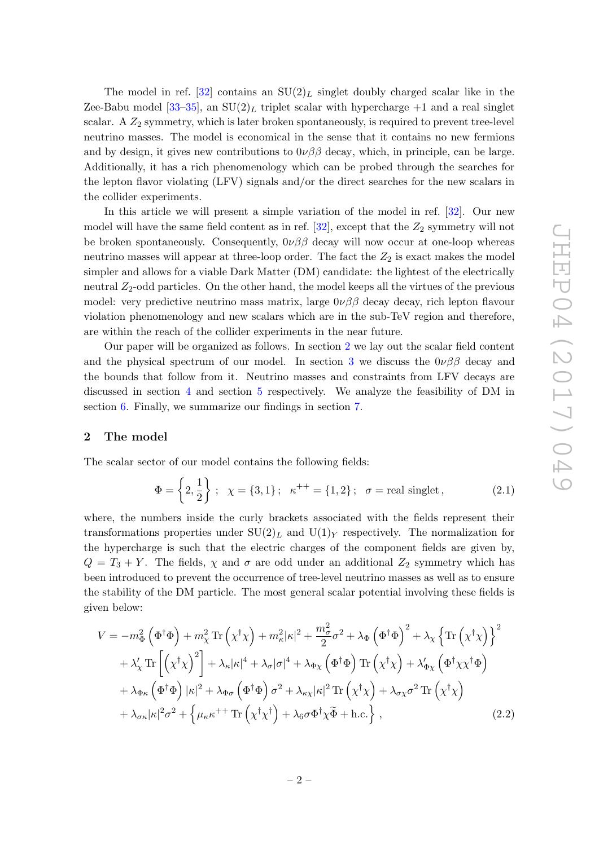The model in ref.  $[32]$  contains an  $SU(2)_L$  singlet doubly charged scalar like in the Zee-Babu model  $[33-35]$ , an  $SU(2)_L$  triplet scalar with hypercharge  $+1$  and a real singlet scalar. A  $Z_2$  symmetry, which is later broken spontaneously, is required to prevent tree-level neutrino masses. The model is economical in the sense that it contains no new fermions and by design, it gives new contributions to  $0\nu\beta\beta$  decay, which, in principle, can be large. Additionally, it has a rich phenomenology which can be probed through the searches for the lepton flavor violating (LFV) signals and/or the direct searches for the new scalars in the collider experiments.

In this article we will present a simple variation of the model in ref. [\[32\]](#page-18-3). Our new model will have the same field content as in ref.  $[32]$ , except that the  $Z_2$  symmetry will not be broken spontaneously. Consequently,  $0\nu\beta\beta$  decay will now occur at one-loop whereas neutrino masses will appear at three-loop order. The fact the  $Z_2$  is exact makes the model simpler and allows for a viable Dark Matter (DM) candidate: the lightest of the electrically neutral  $Z_2$ -odd particles. On the other hand, the model keeps all the virtues of the previous model: very predictive neutrino mass matrix, large  $0\nu\beta\beta$  decay decay, rich lepton flavour violation phenomenology and new scalars which are in the sub-TeV region and therefore, are within the reach of the collider experiments in the near future.

Our paper will be organized as follows. In section [2](#page-2-0) we lay out the scalar field content and the physical spectrum of our model. In section [3](#page-5-0) we discuss the  $0\nu\beta\beta$  decay and the bounds that follow from it. Neutrino masses and constraints from LFV decays are discussed in section [4](#page-6-0) and section [5](#page-8-0) respectively. We analyze the feasibility of DM in section [6.](#page-9-0) Finally, we summarize our findings in section [7](#page-10-0).

## <span id="page-2-0"></span>2 The model

The scalar sector of our model contains the following fields:

$$
\Phi = \left\{ 2, \frac{1}{2} \right\} ; \quad \chi = \{3, 1\} ; \quad \kappa^{++} = \{1, 2\} ; \quad \sigma = \text{real singlet} \,, \tag{2.1}
$$

where, the numbers inside the curly brackets associated with the fields represent their transformations properties under  $SU(2)_L$  and  $U(1)_Y$  respectively. The normalization for the hypercharge is such that the electric charges of the component fields are given by,  $Q = T_3 + Y$ . The fields,  $\chi$  and  $\sigma$  are odd under an additional  $Z_2$  symmetry which has been introduced to prevent the occurrence of tree-level neutrino masses as well as to ensure the stability of the DM particle. The most general scalar potential involving these fields is given below:

<span id="page-2-1"></span>
$$
V = -m_{\Phi}^{2} \left( \Phi^{\dagger} \Phi \right) + m_{\chi}^{2} \text{Tr} \left( \chi^{\dagger} \chi \right) + m_{\kappa}^{2} |\kappa|^{2} + \frac{m_{\sigma}^{2}}{2} \sigma^{2} + \lambda_{\Phi} \left( \Phi^{\dagger} \Phi \right)^{2} + \lambda_{\chi} \left\{ \text{Tr} \left( \chi^{\dagger} \chi \right) \right\}^{2} + \lambda_{\chi}' \text{Tr} \left[ \left( \chi^{\dagger} \chi \right)^{2} \right] + \lambda_{\kappa} |\kappa|^{4} + \lambda_{\sigma} |\sigma|^{4} + \lambda_{\Phi \chi} \left( \Phi^{\dagger} \Phi \right) \text{Tr} \left( \chi^{\dagger} \chi \right) + \lambda_{\Phi \chi}' \left( \Phi^{\dagger} \chi \chi^{\dagger} \Phi \right) + \lambda_{\Phi \kappa} \left( \Phi^{\dagger} \Phi \right) |\kappa|^{2} + \lambda_{\Phi \sigma} \left( \Phi^{\dagger} \Phi \right) \sigma^{2} + \lambda_{\kappa \chi} |\kappa|^{2} \text{Tr} \left( \chi^{\dagger} \chi \right) + \lambda_{\sigma \chi} \sigma^{2} \text{Tr} \left( \chi^{\dagger} \chi \right) + \lambda_{\sigma \kappa} |\kappa|^{2} \sigma^{2} + \left\{ \mu_{\kappa} \kappa^{++} \text{Tr} \left( \chi^{\dagger} \chi^{\dagger} \right) + \lambda_{\theta} \sigma \Phi^{\dagger} \chi \Phi + \text{h.c.} \right\},
$$
(2.2)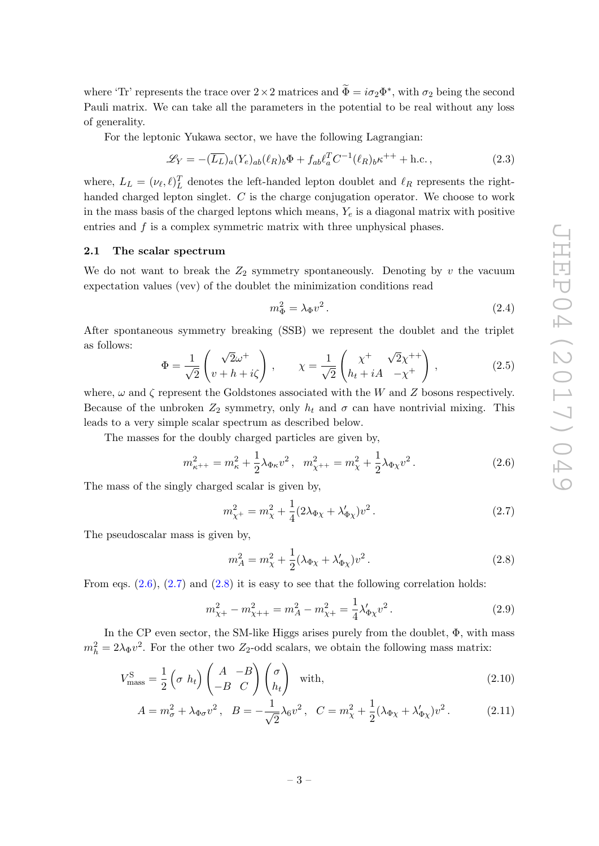where 'Tr' represents the trace over  $2 \times 2$  matrices and  $\tilde{\Phi} = i\sigma_2 \Phi^*$ , with  $\sigma_2$  being the second Pauli matrix. We can take all the parameters in the potential to be real without any loss of generality.

For the leptonic Yukawa sector, we have the following Lagrangian:

$$
\mathcal{L}_Y = -(\overline{L_L})_a (Y_e)_{ab} (\ell_R)_b \Phi + f_{ab} \ell_a^T C^{-1} (\ell_R)_b \kappa^{++} + \text{h.c.} \,, \tag{2.3}
$$

where,  $L_L = (\nu_{\ell}, \ell)_{L}^{T}$  denotes the left-handed lepton doublet and  $\ell_R$  represents the righthanded charged lepton singlet.  $C$  is the charge conjugation operator. We choose to work in the mass basis of the charged leptons which means,  $Y_e$  is a diagonal matrix with positive entries and  $f$  is a complex symmetric matrix with three unphysical phases.

#### <span id="page-3-0"></span>2.1 The scalar spectrum

We do not want to break the  $Z_2$  symmetry spontaneously. Denoting by  $v$  the vacuum expectation values (vev) of the doublet the minimization conditions read

<span id="page-3-6"></span><span id="page-3-1"></span>
$$
m_{\Phi}^2 = \lambda_{\Phi} v^2. \tag{2.4}
$$

After spontaneous symmetry breaking (SSB) we represent the doublet and the triplet as follows:

$$
\Phi = \frac{1}{\sqrt{2}} \begin{pmatrix} \sqrt{2}\omega^+ \\ v + h + i\zeta \end{pmatrix}, \qquad \chi = \frac{1}{\sqrt{2}} \begin{pmatrix} \chi^+ \\ h_t + iA & -\chi^+ \end{pmatrix}, \tag{2.5}
$$

where,  $\omega$  and  $\zeta$  represent the Goldstones associated with the W and Z bosons respectively. Because of the unbroken  $Z_2$  symmetry, only  $h_t$  and  $\sigma$  can have nontrivial mixing. This leads to a very simple scalar spectrum as described below.

The masses for the doubly charged particles are given by,

$$
m_{\kappa^{++}}^2 = m_{\kappa}^2 + \frac{1}{2}\lambda_{\Phi\kappa}v^2, \quad m_{\chi^{++}}^2 = m_{\chi}^2 + \frac{1}{2}\lambda_{\Phi\chi}v^2. \tag{2.6}
$$

The mass of the singly charged scalar is given by,

<span id="page-3-2"></span>
$$
m_{\chi^{+}}^{2} = m_{\chi}^{2} + \frac{1}{4} (2\lambda_{\Phi\chi} + \lambda_{\Phi\chi}')v^{2}.
$$
 (2.7)

The pseudoscalar mass is given by.

<span id="page-3-5"></span><span id="page-3-3"></span>
$$
m_A^2 = m_\chi^2 + \frac{1}{2} (\lambda_{\Phi\chi} + \lambda'_{\Phi\chi}) v^2.
$$
 (2.8)

From eqs.  $(2.6)$ ,  $(2.7)$  and  $(2.8)$  it is easy to see that the following correlation holds:

<span id="page-3-4"></span>
$$
m_{\chi+}^2 - m_{\chi++}^2 = m_A^2 - m_{\chi+}^2 = \frac{1}{4} \lambda_{\Phi\chi} v^2.
$$
 (2.9)

In the CP even sector, the SM-like Higgs arises purely from the doublet, Φ, with mass  $m_h^2 = 2\lambda_{\Phi} v^2$ . For the other two  $Z_2$ -odd scalars, we obtain the following mass matrix:

$$
V_{\text{mass}}^{\text{S}} = \frac{1}{2} \left( \sigma h_t \right) \begin{pmatrix} A & -B \\ -B & C \end{pmatrix} \begin{pmatrix} \sigma \\ h_t \end{pmatrix} \quad \text{with}, \tag{2.10}
$$

$$
A = m_{\sigma}^2 + \lambda_{\Phi\sigma} v^2, \quad B = -\frac{1}{\sqrt{2}} \lambda_6 v^2, \quad C = m_{\chi}^2 + \frac{1}{2} (\lambda_{\Phi\chi} + \lambda_{\Phi\chi}') v^2. \tag{2.11}
$$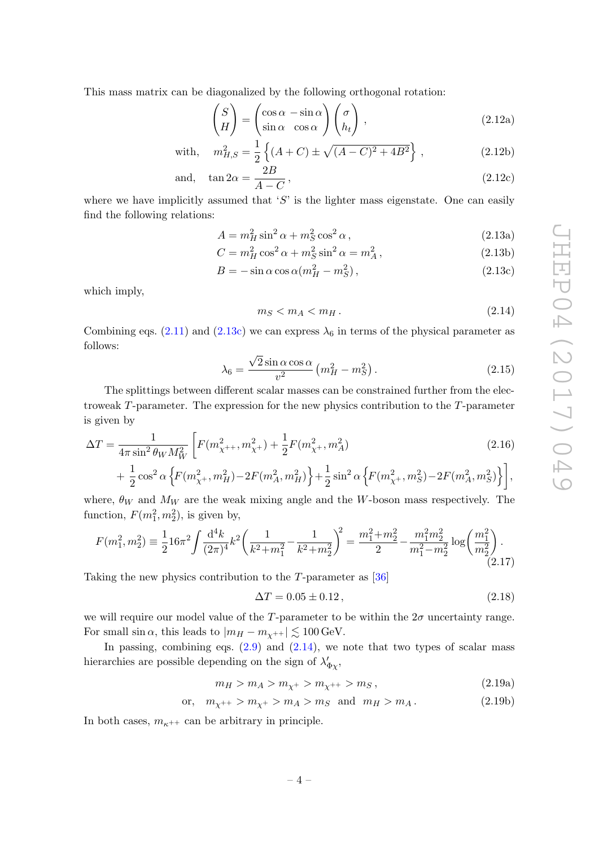This mass matrix can be diagonalized by the following orthogonal rotation:

$$
\begin{pmatrix} S \\ H \end{pmatrix} = \begin{pmatrix} \cos \alpha & -\sin \alpha \\ \sin \alpha & \cos \alpha \end{pmatrix} \begin{pmatrix} \sigma \\ h_t \end{pmatrix},
$$
\n(2.12a)

with, 
$$
m_{H,S}^2 = \frac{1}{2} \left\{ (A+C) \pm \sqrt{(A-C)^2 + 4B^2} \right\}
$$
, (2.12b)

and, 
$$
\tan 2\alpha = \frac{2B}{A - C}
$$
, (2.12c)

where we have implicitly assumed that  $'S'$  is the lighter mass eigenstate. One can easily find the following relations:

$$
A = m_H^2 \sin^2 \alpha + m_S^2 \cos^2 \alpha, \qquad (2.13a)
$$

$$
C = m_H^2 \cos^2 \alpha + m_S^2 \sin^2 \alpha = m_A^2, \qquad (2.13b)
$$

$$
B = -\sin\alpha\cos\alpha(m_H^2 - m_S^2),\qquad(2.13c)
$$

which imply,

<span id="page-4-3"></span><span id="page-4-2"></span><span id="page-4-1"></span><span id="page-4-0"></span>
$$
m_S < m_A < m_H. \tag{2.14}
$$

Combining eqs.  $(2.11)$  and  $(2.13c)$  we can express  $\lambda_6$  in terms of the physical parameter as follows:

$$
\lambda_6 = \frac{\sqrt{2}\sin\alpha\cos\alpha}{v^2} \left( m_H^2 - m_S^2 \right). \tag{2.15}
$$

The splittings between different scalar masses can be constrained further from the electroweak  $T$ -parameter. The expression for the new physics contribution to the  $T$ -parameter is given by

$$
\Delta T = \frac{1}{4\pi \sin^2 \theta_W M_W^2} \left[ F(m_{\chi^{++}}^2, m_{\chi^+}^2) + \frac{1}{2} F(m_{\chi^+}^2, m_A^2) \right]
$$
(2.16)

$$
+\left.\frac{1}{2}\cos^2\alpha\left\{F(m_{\chi^+}^2,m_H^2)-2F(m_A^2,m_H^2)\right\}+\frac{1}{2}\sin^2\alpha\left\{F(m_{\chi^+}^2,m_S^2)-2F(m_A^2,m_S^2)\right\}\right],
$$

where,  $\theta_W$  and  $M_W$  are the weak mixing angle and the W-boson mass respectively. The function,  $F(m_1^2, m_2^2)$ , is given by,

$$
F(m_1^2, m_2^2) \equiv \frac{1}{2} 16\pi^2 \int \frac{\mathrm{d}^4 k}{(2\pi)^4} k^2 \left( \frac{1}{k^2 + m_1^2} - \frac{1}{k^2 + m_2^2} \right)^2 = \frac{m_1^2 + m_2^2}{2} - \frac{m_1^2 m_2^2}{m_1^2 - m_2^2} \log \left( \frac{m_1^2}{m_2^2} \right). \tag{2.17}
$$

Taking the new physics contribution to the T-parameter as [\[36](#page-18-7)]

$$
\Delta T = 0.05 \pm 0.12, \tag{2.18}
$$

we will require our model value of the T-parameter to be within the  $2\sigma$  uncertainty range. For small  $\sin \alpha$ , this leads to  $|m_H - m_{\chi^{++}}| \lesssim 100 \,\text{GeV}$ .

In passing, combining eqs.  $(2.9)$  and  $(2.14)$ , we note that two types of scalar mass hierarchies are possible depending on the sign of  $\lambda'_{\Phi\chi}$ ,

$$
m_H > m_A > m_{\chi^+} > m_{\chi^{++}} > m_S, \tag{2.19a}
$$

$$
m_{\chi^{++}} > m_{\chi^{+}} > m_A > m_S \text{ and } m_H > m_A. \tag{2.19b}
$$

In both cases,  $m_{\kappa^{++}}$  can be arbitrary in principle.

or.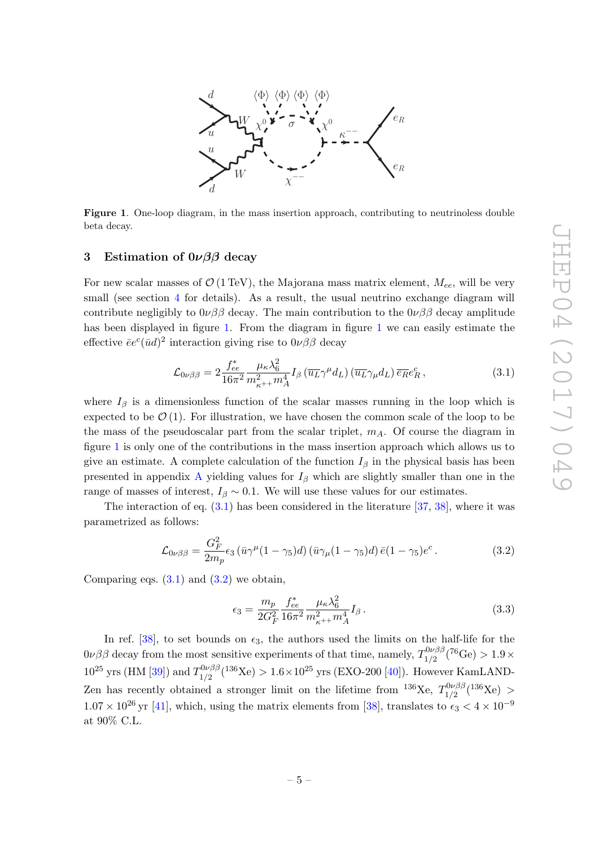

<span id="page-5-1"></span>Figure 1. One-loop diagram, in the mass insertion approach, contributing to neutrinoless double beta decay.

## <span id="page-5-0"></span>3 Estimation of  $0\nu\beta\beta$  decay

For new scalar masses of  $\mathcal{O}$  (1 TeV), the Majorana mass matrix element,  $M_{ee}$ , will be very small (see section [4](#page-6-0) for details). As a result, the usual neutrino exchange diagram will contribute negligibly to  $0\nu\beta\beta$  decay. The main contribution to the  $0\nu\beta\beta$  decay amplitude has been displayed in figure [1.](#page-5-1) From the diagram in figure [1](#page-5-1) we can easily estimate the effective  $\bar{e}e^c(\bar{u}d)^2$  interaction giving rise to  $0\nu\beta\beta$  decay

<span id="page-5-2"></span>
$$
\mathcal{L}_{0\nu\beta\beta} = 2 \frac{f_{ee}^*}{16\pi^2} \frac{\mu_\kappa \lambda_6^2}{m_{\kappa^{++}}^2 m_A^4} I_\beta \left(\overline{u_L} \gamma^\mu d_L\right) \left(\overline{u_L} \gamma_\mu d_L\right) \overline{e_R} e_R^c \,,\tag{3.1}
$$

where  $I_\beta$  is a dimensionless function of the scalar masses running in the loop which is expected to be  $\mathcal{O}(1)$ . For illustration, we have chosen the common scale of the loop to be the mass of the pseudoscalar part from the scalar triplet,  $m_A$ . Of course the diagram in figure [1](#page-5-1) is only one of the contributions in the mass insertion approach which allows us to give an estimate. A complete calculation of the function  $I_\beta$  in the physical basis has been presented in appendix [A](#page-12-0) yielding values for  $I_\beta$  which are slightly smaller than one in the range of masses of interest,  $I_\beta \sim 0.1$ . We will use these values for our estimates.

The interaction of eq.  $(3.1)$  has been considered in the literature [\[37](#page-18-8), [38\]](#page-18-9), where it was parametrized as follows:

<span id="page-5-3"></span>
$$
\mathcal{L}_{0\nu\beta\beta} = \frac{G_F^2}{2m_p} \epsilon_3 \left(\bar{u}\gamma^\mu (1-\gamma_5)d\right) \left(\bar{u}\gamma_\mu (1-\gamma_5)d\right) \bar{e}(1-\gamma_5)e^c.
$$
 (3.2)

Comparing eqs.  $(3.1)$  and  $(3.2)$  we obtain,

<span id="page-5-4"></span>
$$
\epsilon_3 = \frac{m_p}{2G_F^2} \frac{f_{ee}^*}{16\pi^2} \frac{\mu_\kappa \lambda_6^2}{m_{\kappa^{++}}^2 m_A^4} I_\beta \,. \tag{3.3}
$$

In ref. [\[38\]](#page-18-9), to set bounds on  $\epsilon_3$ , the authors used the limits on the half-life for the  $0\nu\beta\beta$  decay from the most sensitive experiments of that time, namely,  $T_{1/2}^{0\nu\beta\beta}$  $\frac{10\nu\beta\beta}{1/2}(^{76}\text{Ge}) > 1.9\times$  $10^{25}$  yrs (HM [\[39\]](#page-18-10)) and  $T_{1/2}^{0\nu\beta\beta}$  $1/2^{0\nu\beta\beta}(136\,\text{Xe}) > 1.6 \times 10^{25} \text{ yrs (EXO-200 [40])}.$  $1/2^{0\nu\beta\beta}(136\,\text{Xe}) > 1.6 \times 10^{25} \text{ yrs (EXO-200 [40])}.$  $1/2^{0\nu\beta\beta}(136\,\text{Xe}) > 1.6 \times 10^{25} \text{ yrs (EXO-200 [40])}.$  However KamLAND-Zen has recently obtained a stronger limit on the lifetime from  $^{136}\text{Xe}$ ,  $T_{1/2}^{0\nu\beta\beta}(^{136}\text{Xe})$  >  $1.07 \times 10^{26}$  yr [\[41\]](#page-19-0), which, using the matrix elements from [\[38\]](#page-18-9), translates to  $\epsilon_3 < 4 \times 10^{-9}$ at 90% C.L.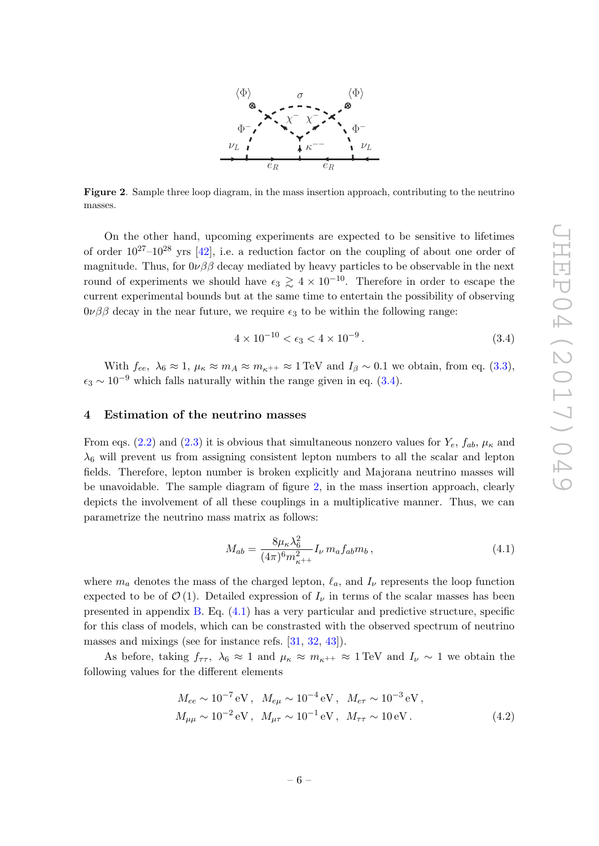

<span id="page-6-2"></span>Figure 2. Sample three loop diagram, in the mass insertion approach, contributing to the neutrino masses.

On the other hand, upcoming experiments are expected to be sensitive to lifetimes of order  $10^{27}-10^{28}$  yrs [\[42\]](#page-19-1), i.e. a reduction factor on the coupling of about one order of magnitude. Thus, for  $0\nu\beta\beta$  decay mediated by heavy particles to be observable in the next round of experiments we should have  $\epsilon_3 \gtrsim 4 \times 10^{-10}$ . Therefore in order to escape the current experimental bounds but at the same time to entertain the possibility of observing  $0\nu\beta\beta$  decay in the near future, we require  $\epsilon_3$  to be within the following range:

<span id="page-6-1"></span>
$$
4 \times 10^{-10} < \epsilon_3 < 4 \times 10^{-9} \,. \tag{3.4}
$$

With  $f_{ee}$ ,  $\lambda_6 \approx 1$ ,  $\mu_{\kappa} \approx m_A \approx m_{\kappa^{++}} \approx 1$  TeV and  $I_{\beta} \sim 0.1$  we obtain, from eq. [\(3.3\)](#page-5-4),  $\epsilon_3 \sim 10^{-9}$  which falls naturally within the range given in eq. [\(3.4\)](#page-6-1).

## <span id="page-6-0"></span>4 Estimation of the neutrino masses

From eqs. [\(2.2\)](#page-2-1) and [\(2.3\)](#page-3-6) it is obvious that simultaneous nonzero values for  $Y_e$ ,  $f_{ab}$ ,  $\mu_{\kappa}$  and  $\lambda_6$  will prevent us from assigning consistent lepton numbers to all the scalar and lepton fields. Therefore, lepton number is broken explicitly and Majorana neutrino masses will be unavoidable. The sample diagram of figure [2,](#page-6-2) in the mass insertion approach, clearly depicts the involvement of all these couplings in a multiplicative manner. Thus, we can parametrize the neutrino mass matrix as follows:

<span id="page-6-3"></span>
$$
M_{ab} = \frac{8\mu_{\kappa}\lambda_6^2}{(4\pi)^6 m_{\kappa^{++}}^2} I_{\nu} m_a f_{ab} m_b ,
$$
 (4.1)

where  $m_a$  denotes the mass of the charged lepton,  $\ell_a$ , and  $I_\nu$  represents the loop function expected to be of  $\mathcal{O}(1)$ . Detailed expression of  $I_{\nu}$  in terms of the scalar masses has been presented in appendix [B.](#page-14-0) Eq. [\(4.1\)](#page-6-3) has a very particular and predictive structure, specific for this class of models, which can be constrasted with the observed spectrum of neutrino masses and mixings (see for instance refs. [\[31](#page-18-2), [32](#page-18-3), [43\]](#page-19-2)).

As before, taking  $f_{\tau\tau}$ ,  $\lambda_6 \approx 1$  and  $\mu_{\kappa} \approx m_{\kappa^{++}} \approx 1 \text{ TeV}$  and  $I_{\nu} \sim 1$  we obtain the following values for the different elements

$$
M_{ee} \sim 10^{-7} \text{ eV}, \quad M_{e\mu} \sim 10^{-4} \text{ eV}, \quad M_{e\tau} \sim 10^{-3} \text{ eV},
$$
  

$$
M_{\mu\mu} \sim 10^{-2} \text{ eV}, \quad M_{\mu\tau} \sim 10^{-1} \text{ eV}, \quad M_{\tau\tau} \sim 10 \text{ eV}.
$$
 (4.2)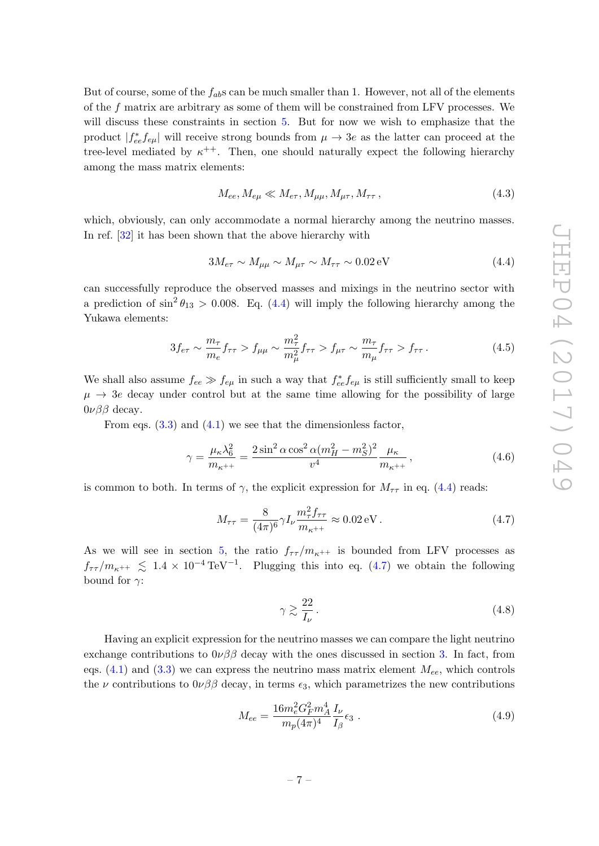But of course, some of the  $f_{ab}$ s can be much smaller than 1. However, not all of the elements of the f matrix are arbitrary as some of them will be constrained from LFV processes. We will discuss these constraints in section [5.](#page-8-0) But for now we wish to emphasize that the product  $|f_{ee}^* f_{e\mu}|$  will receive strong bounds from  $\mu \to 3e$  as the latter can proceed at the tree-level mediated by  $\kappa^{++}$ . Then, one should naturally expect the following hierarchy among the mass matrix elements:

<span id="page-7-0"></span>
$$
M_{ee}, M_{e\mu} \ll M_{e\tau}, M_{\mu\mu}, M_{\mu\tau}, M_{\tau\tau},
$$
\n(4.3)

which, obviously, can only accommodate a normal hierarchy among the neutrino masses. In ref.  $[32]$  it has been shown that the above hierarchy with

<span id="page-7-2"></span>
$$
3M_{e\tau} \sim M_{\mu\mu} \sim M_{\mu\tau} \sim M_{\tau\tau} \sim 0.02 \,\text{eV}
$$
\n
$$
(4.4)
$$

can successfully reproduce the observed masses and mixings in the neutrino sector with a prediction of  $\sin^2 \theta_{13} > 0.008$ . Eq. [\(4.4\)](#page-7-0) will imply the following hierarchy among the Yukawa elements:

$$
3f_{e\tau} \sim \frac{m_{\tau}}{m_e} f_{\tau\tau} > f_{\mu\mu} \sim \frac{m_{\tau}^2}{m_{\mu}^2} f_{\tau\tau} > f_{\mu\tau} \sim \frac{m_{\tau}}{m_{\mu}} f_{\tau\tau} > f_{\tau\tau}.
$$
 (4.5)

We shall also assume  $f_{ee} \gg f_{e\mu}$  in such a way that  $f_{ee}^* f_{e\mu}$  is still sufficiently small to keep  $\mu \rightarrow 3e$  decay under control but at the same time allowing for the possibility of large  $0\nu\beta\beta$  decay.

From eqs.  $(3.3)$  and  $(4.1)$  we see that the dimensionless factor.

$$
\gamma = \frac{\mu_{\kappa}\lambda_6^2}{m_{\kappa^{++}}} = \frac{2\sin^2\alpha\cos^2\alpha(m_H^2 - m_S^2)^2}{v^4} \frac{\mu_{\kappa}}{m_{\kappa^{++}}},\tag{4.6}
$$

is common to both. In terms of  $\gamma$ , the explicit expression for  $M_{\tau\tau}$  in eq. [\(4.4\)](#page-7-0) reads:

$$
M_{\tau\tau} = \frac{8}{(4\pi)^6} \gamma I_{\nu} \frac{m_{\tau}^2 f_{\tau\tau}}{m_{\kappa^{++}}} \approx 0.02 \,\text{eV} \,. \tag{4.7}
$$

As we will see in section [5,](#page-8-0) the ratio  $f_{\tau\tau}/m_{\kappa^{++}}$  is bounded from LFV processes as  $f_{\tau\tau}/m_{\kappa^{++}} \leq 1.4 \times 10^{-4} \,\text{TeV}^{-1}$ . Plugging this into eq. [\(4.7\)](#page-7-1) we obtain the following bound for  $\gamma$ :

<span id="page-7-3"></span><span id="page-7-1"></span>
$$
\gamma \gtrsim \frac{22}{I_{\nu}}.\tag{4.8}
$$

Having an explicit expression for the neutrino masses we can compare the light neutrino exchange contributions to  $0\nu\beta\beta$  decay with the ones discussed in section [3.](#page-5-0) In fact, from eqs.  $(4.1)$  and  $(3.3)$  we can express the neutrino mass matrix element  $M_{ee}$ , which controls the  $\nu$  contributions to  $0\nu\beta\beta$  decay, in terms  $\epsilon_3$ , which parametrizes the new contributions

$$
M_{ee} = \frac{16m_e^2 G_F^2 m_A^4}{m_p (4\pi)^4} \frac{I_\nu}{I_\beta} \epsilon_3 \ . \tag{4.9}
$$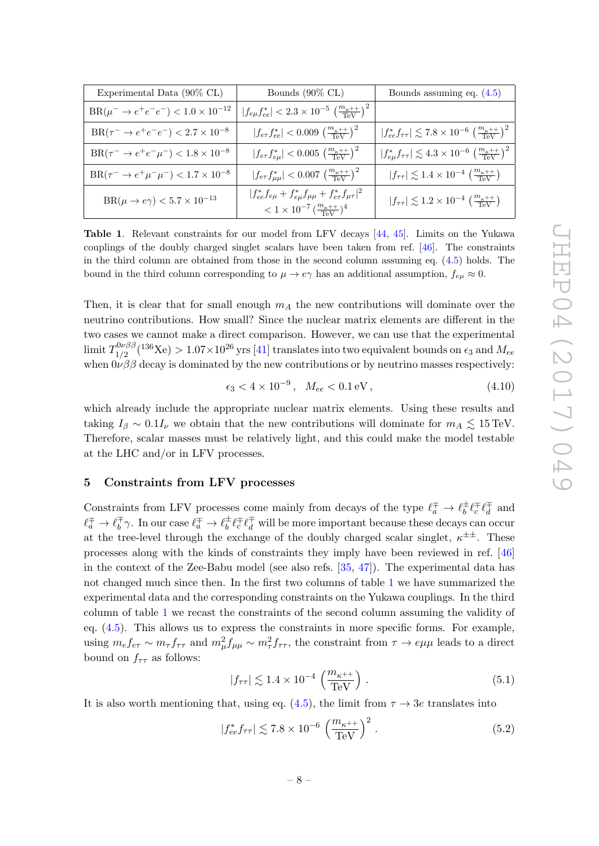| Experimental Data (90% CL)                            | Bounds $(90\% \text{ CL})$                                                                                                                           | Bounds assuming eq. $(4.5)$                                                                            |  |  |  |
|-------------------------------------------------------|------------------------------------------------------------------------------------------------------------------------------------------------------|--------------------------------------------------------------------------------------------------------|--|--|--|
| $BR(\mu^- \to e^+e^-e^-) < 1.0 \times 10^{-12}$       | $ f_{e\mu}f_{ee}^*  < 2.3 \times 10^{-5} \left(\frac{m_{\kappa}+1}{\text{TeV}}\right)^2$                                                             |                                                                                                        |  |  |  |
| $BR(\tau^- \to e^+e^-e^-) < 2.7 \times 10^{-8}$       | $ f_{e\tau}f_{ee}^*  < 0.009 \left(\frac{m_{\kappa^{++}}}{\text{TeV}}\right)^2$                                                                      | $ f_{ee}^* f_{\tau\tau}  \lesssim 7.8 \times 10^{-6} \left(\frac{m_{\kappa}+1}{\text{TeV}}\right)^2$   |  |  |  |
| $BR(\tau^- \to e^+e^-\mu^-) < 1.8 \times 10^{-8}$     | $ f_{e\tau}f_{e\mu}^*  < 0.005 \left(\frac{m_{\kappa}+1}{\text{TeV}}\right)^2$                                                                       | $ f_{e\mu}^* f_{\tau\tau}  \lesssim 4.3 \times 10^{-6} \left(\frac{m_{\kappa}+1}{\text{TeV}}\right)^2$ |  |  |  |
| $BR(\tau^- \to e^+ \mu^- \mu^-) < 1.7 \times 10^{-8}$ | $ f_{e\tau}f^*_{\mu\mu}  < 0.007 \left(\frac{m_{\kappa}++}{\text{TeV}}\right)^2$                                                                     | $ f_{\tau\tau}  \lesssim 1.4 \times 10^{-4} \left(\frac{m_{\kappa}+1}{\text{TeV}}\right)$              |  |  |  |
| ${\rm BR}(\mu\to e\gamma) < 5.7\times 10^{-13}$       | $ f_{ee}^* f_{e\mu} + f_{e\mu}^* f_{\mu\mu} + f_{e\tau}^* f_{\mu\tau} ^2$<br>$< 1 \times 10^{-7} \left( \frac{m_{\kappa} + 1}{\text{TeV}} \right)^4$ | $ f_{\tau\tau}  \lesssim 1.2 \times 10^{-4} \left( \frac{m_{\kappa} + +}{\text{TeV}} \right)$          |  |  |  |

<span id="page-8-1"></span>Table 1. Relevant constraints for our model from LFV decays [\[44](#page-19-3) , [45\]](#page-19-4). Limits on the Yukawa couplings of the doubly charged singlet scalars have been taken from ref. [\[46\]](#page-19-5). The constraints in the third column are obtained from those in the second column assuming eq. [\(4.5\)](#page-7-2) holds. The bound in the third column corresponding to  $\mu \to e\gamma$  has an additional assumption,  $f_{e\mu} \approx 0$ .

Then, it is clear that for small enough  $m_A$  the new contributions will dominate over the neutrino contributions. How small? Since the nuclear matrix elements are different in the two cases we cannot make a direct comparison. However, we can use that the experimental  $\lim$ it  $T^{0\nu\beta\beta}_{1/2}$  $\frac{1}{2}$ <sup>0 $\nu\beta\beta$ </sup> ( $^{136}\text{Xe}$ )  $>1.07\times10^{26}\text{yrs}$  [\[41\]](#page-19-0) translates into two equivalent bounds on  $\epsilon_3$  and  $M_{ee}$ when  $0\nu\beta\beta$  decay is dominated by the new contributions or by neutrino masses respectively:

$$
\epsilon_3 < 4 \times 10^{-9}, \quad M_{ee} < 0.1 \,\text{eV}, \tag{4.10}
$$

which already include the appropriate nuclear matrix elements. Using these results and taking  $I_\beta \sim 0.1 I_\nu$  we obtain that the new contributions will dominate for  $m_A \lesssim 15 \,\text{TeV}$ . Therefore, scalar masses must be relatively light, and this could make the model testable at the LHC and/or in LFV processes.

# <span id="page-8-0"></span>5 Constraints from LFV processes

Constraints from LFV processes come mainly from decays of the type  $\ell_a^{\pm} \to \ell_b^{\pm}$  $\iota_b^{\pm} \ell_c^{\mp} \ell_d^{\mp}$  $d$  and  $\ell_a^{\mp} \to \ell_b^{\mp}$  $\bar{t}_b^{\pm} \gamma$ . In our case  $\ell_a^{\pm} \to \ell_b^{\pm}$  $\frac{1}{b} \ell_c^{\mp} \ell_d^{\mp}$  will be more important because these decays can occur at the tree-level through the exchange of the doubly charged scalar singlet,  $\kappa^{\pm \pm}$ . These processes along with the kinds of constraints they imply have been reviewed in ref. [\[46](#page-19-5) ] in the context of the Zee-Babu model (see also refs. [\[35](#page-18-6) , [47\]](#page-19-6)). The experimental data has not changed much since then. In the first two columns of table [1](#page-8-1) we have summarized the experimental data and the corresponding constraints on the Yukawa couplings. In the third column of table [1](#page-8-1) we recast the constraints of the second column assuming the validity of eq. [\(4.5\)](#page-7-2). This allows us to express the constraints in more specific forms. For example, using  $m_e f_{e\tau} \sim m_\tau f_{\tau\tau}$  and  $m_\mu^2 f_{\mu\mu} \sim m_\tau^2 f_{\tau\tau}$ , the constraint from  $\tau \to e\mu\mu$  leads to a direct bound on  $f_{\tau\tau}$  as follows:

<span id="page-8-3"></span><span id="page-8-2"></span>
$$
|f_{\tau\tau}| \lesssim 1.4 \times 10^{-4} \left(\frac{m_{\kappa^{++}}}{\text{TeV}}\right). \tag{5.1}
$$

It is also worth mentioning that, using eq.  $(4.5)$ , the limit from  $\tau \to 3e$  translates into

$$
|f_{ee}^* f_{\tau\tau}| \lesssim 7.8 \times 10^{-6} \left(\frac{m_{\kappa^{++}}}{\text{TeV}}\right)^2 \,. \tag{5.2}
$$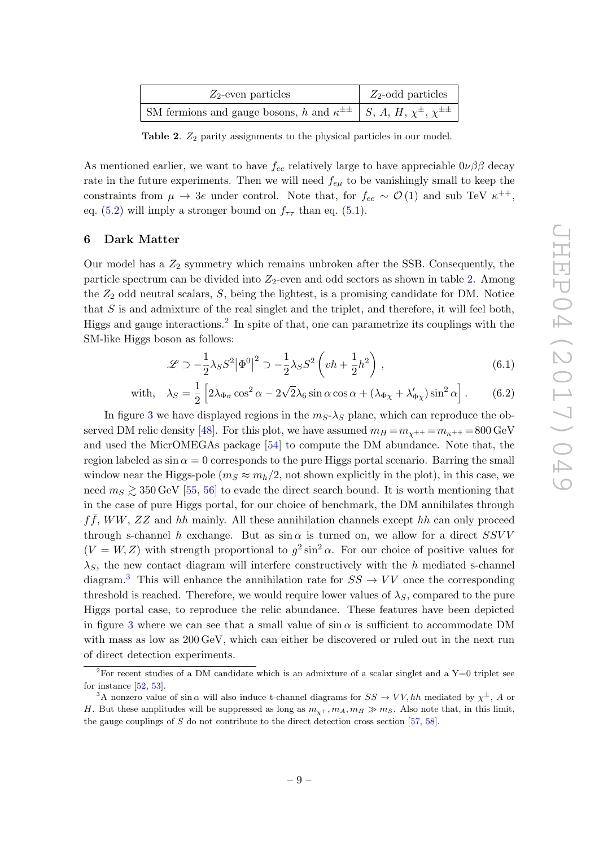| $Z_2$ -even particles                                                                             | $Z_2$ -odd particles |  |  |  |
|---------------------------------------------------------------------------------------------------|----------------------|--|--|--|
| SM fermions and gauge bosons, h and $\kappa^{\pm \pm}$   S, A, H, $\chi^{\pm}$ , $\chi^{\pm \pm}$ |                      |  |  |  |

<span id="page-9-1"></span>Table 2.  $Z_2$  parity assignments to the physical particles in our model.

As mentioned earlier, we want to have  $f_{ee}$  relatively large to have appreciable  $0\nu\beta\beta$  decay rate in the future experiments. Then we will need  $f_{e\mu}$  to be vanishingly small to keep the constraints from  $\mu \to 3e$  under control. Note that, for  $f_{ee} \sim \mathcal{O}(1)$  and sub TeV  $\kappa^{++}$ , eq. [\(5.2\)](#page-8-2) will imply a stronger bound on  $f_{\tau\tau}$  than eq. [\(5.1\)](#page-8-3).

## <span id="page-9-0"></span>6 Dark Matter

Our model has a  $Z_2$  symmetry which remains unbroken after the SSB. Consequently, the particle spectrum can be divided into Z2-even and odd sectors as shown in table [2.](#page-9-1) Among the  $Z_2$  odd neutral scalars,  $S$ , being the lightest, is a promising candidate for DM. Notice that  $S$  is and admixture of the real singlet and the triplet, and therefore, it will feel both, Higgs and gauge interactions. [2](#page-9-2) In spite of that, one can parametrize its couplings with the SM-like Higgs boson as follows:

$$
\mathcal{L} \supset -\frac{1}{2}\lambda_S S^2 |\Phi^0|^2 \supset -\frac{1}{2}\lambda_S S^2 \left(vh + \frac{1}{2}h^2\right),\tag{6.1}
$$

with, 
$$
\lambda_S = \frac{1}{2} \left[ 2\lambda_{\Phi\sigma} \cos^2 \alpha - 2\sqrt{2}\lambda_6 \sin \alpha \cos \alpha + (\lambda_{\Phi\chi} + \lambda_{\Phi\chi}') \sin^2 \alpha \right].
$$
 (6.2)

In figure [3](#page-10-1) we have displayed regions in the  $m_S - \lambda_S$  plane, which can reproduce the ob-served DM relic density [\[48\]](#page-19-7). For this plot, we have assumed  $m_H = m_{\chi^{++}} = m_{\kappa^{++}} = 800 \,\text{GeV}$ and used the MicrOMEGAs package [\[54\]](#page-19-8) to compute the DM abundance. Note that, the region labeled as  $\sin\alpha = 0$  corresponds to the pure Higgs portal scenario. Barring the small window near the Higgs-pole ( $m_S \approx m_h/2$ , not shown explicitly in the plot), in this case, we need  $m_S \gtrsim 350 \,\text{GeV}$  [\[55](#page-19-9), [56\]](#page-19-10) to evade the direct search bound. It is worth mentioning that in the case of pure Higgs portal, for our choice of benchmark, the DM annihilates through  $f\bar{f}$ , WW, ZZ and hh mainly. All these annihilation channels except hh can only proceed through s-channel h exchange. But as  $\sin \alpha$  is turned on, we allow for a direct SSVV  $(V = W, Z)$  with strength proportional to  $g^2 \sin^2 \alpha$ . For our choice of positive values for  $\lambda_S$ , the new contact diagram will interfere constructively with the h mediated s-channel diagram.<sup>[3](#page-9-3)</sup> This will enhance the annihilation rate for  $SS \rightarrow VV$  once the corresponding threshold is reached. Therefore, we would require lower values of  $\lambda_S$ , compared to the pure Higgs portal case, to reproduce the relic abundance. These features have been depicted in figure [3](#page-10-1) where we can see that a small value of  $\sin \alpha$  is sufficient to accommodate DM with mass as low as 200 GeV, which can either be discovered or ruled out in the next run of direct detection experiments.

<span id="page-9-2"></span><sup>&</sup>lt;sup>2</sup>For recent studies of a DM candidate which is an admixture of a scalar singlet and a  $Y=0$  triplet see for instance  $[52, 53]$  $[52, 53]$ .

<span id="page-9-3"></span><sup>&</sup>lt;sup>3</sup>A nonzero value of sin  $\alpha$  will also induce t-channel diagrams for  $SS \to VV, hh$  mediated by  $\chi^{\pm}$ , A or H. But these amplitudes will be suppressed as long as  $m_{\chi}$ +,  $m_A$ ,  $m_H \gg m_S$ . Also note that, in this limit, the gauge couplings of S do not contribute to the direct detection cross section [\[57](#page-19-13) , [58\]](#page-19-14).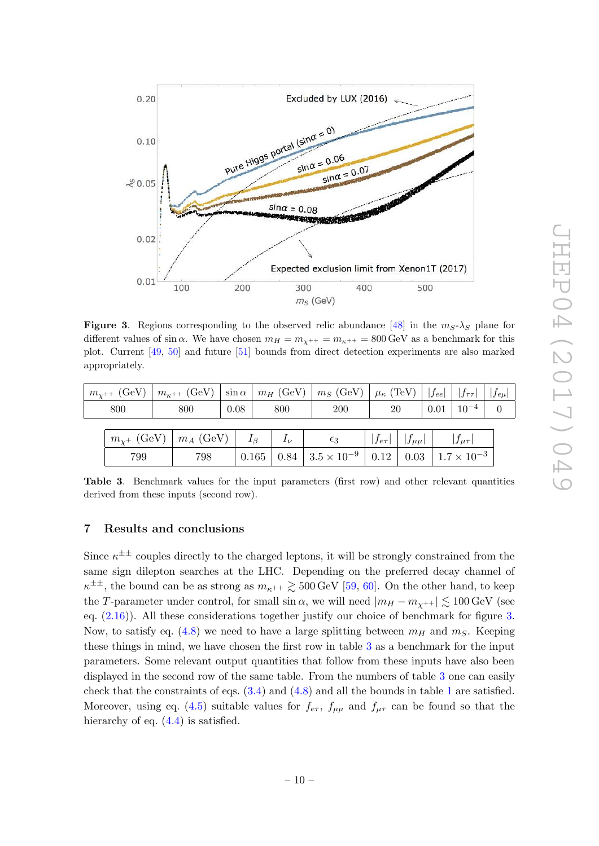

<span id="page-10-1"></span>**Figure 3.** Regions corresponding to the observed relic abundance [\[48\]](#page-19-7) in the  $m_S - \lambda_S$  plane for different values of sin  $\alpha$ . We have chosen  $m_H = m_{\chi^{++}} = m_{\kappa^{++}} = 800 \,\text{GeV}$  as a benchmark for this plot. Current [\[49](#page-19-15) , [50\]](#page-19-16) and future [\[51\]](#page-19-17) bounds from direct detection experiments are also marked appropriately.

| $m_{\chi^{++}}$ (GeV) $\mid m_{\kappa^{++}}$ (GeV) $\mid \sin \alpha \mid m_H$ (GeV) $\mid m_S$ (GeV) $\mid \mu_{\kappa}$ (TeV) $\mid \mid f_{ee} \mid \mid f_{\tau\tau} \mid \mid f_{e\mu} \mid$ |     |  |                                                         |      |           |                                                                                                                            |                              |  |                          |  |
|---------------------------------------------------------------------------------------------------------------------------------------------------------------------------------------------------|-----|--|---------------------------------------------------------|------|-----------|----------------------------------------------------------------------------------------------------------------------------|------------------------------|--|--------------------------|--|
| 800                                                                                                                                                                                               |     |  | 800                                                     | 0.08 | 800       | <b>200</b>                                                                                                                 | 20                           |  | $0.01 \mid 10^{-4} \mid$ |  |
|                                                                                                                                                                                                   |     |  | $m_{\chi^+}$ (GeV) $\mid m_A$ (GeV) $\mid I_\beta \mid$ |      | $I_{\nu}$ | $\epsilon_3$                                                                                                               | $ f_{e\tau} $ $ f_{\mu\mu} $ |  | $ f_{\mu\tau} $          |  |
|                                                                                                                                                                                                   | 799 |  | 798                                                     |      |           | $\mid$ 0.165 $\mid$ 0.84 $\mid$ 3.5 $\times$ 10 <sup>-9</sup> $\mid$ 0.12 $\mid$ 0.03 $\mid$ 1.7 $\times$ 10 <sup>-3</sup> |                              |  |                          |  |

<span id="page-10-2"></span>Table 3. Benchmark values for the input parameters (first row) and other relevant quantities derived from these inputs (second row).

## <span id="page-10-0"></span>7 Results and conclusions

Since  $\kappa^{\pm \pm}$  couples directly to the charged leptons, it will be strongly constrained from the same sign dilepton searches at the LHC. Depending on the preferred decay channel of  $\kappa^{\pm \pm}$ , the bound can be as strong as  $m_{\kappa^{++}} \gtrsim 500\,\text{GeV}$  [\[59](#page-20-0), [60\]](#page-20-1). On the other hand, to keep the T-parameter under control, for small  $\sin \alpha$ , we will need  $|m_H - m_{\chi^{++}}| \lesssim 100 \,\mathrm{GeV}$  (see eq.  $(2.16)$ ). All these considerations together justify our choice of benchmark for figure [3](#page-10-1). Now, to satisfy eq.  $(4.8)$  we need to have a large splitting between  $m_H$  and  $m_S$ . Keeping these things in mind, we have chosen the first row in table [3](#page-10-2) as a benchmark for the input parameters. Some relevant output quantities that follow from these inputs have also been displayed in the second row of the same table. From the numbers of table [3](#page-10-2) one can easily check that the constraints of eqs.  $(3.4)$  and  $(4.8)$  and all the bounds in table [1](#page-8-1) are satisfied. Moreover, using eq. [\(4.5\)](#page-7-2) suitable values for  $f_{e\tau}$ ,  $f_{\mu\mu}$  and  $f_{\mu\tau}$  can be found so that the hierarchy of eq.  $(4.4)$  is satisfied.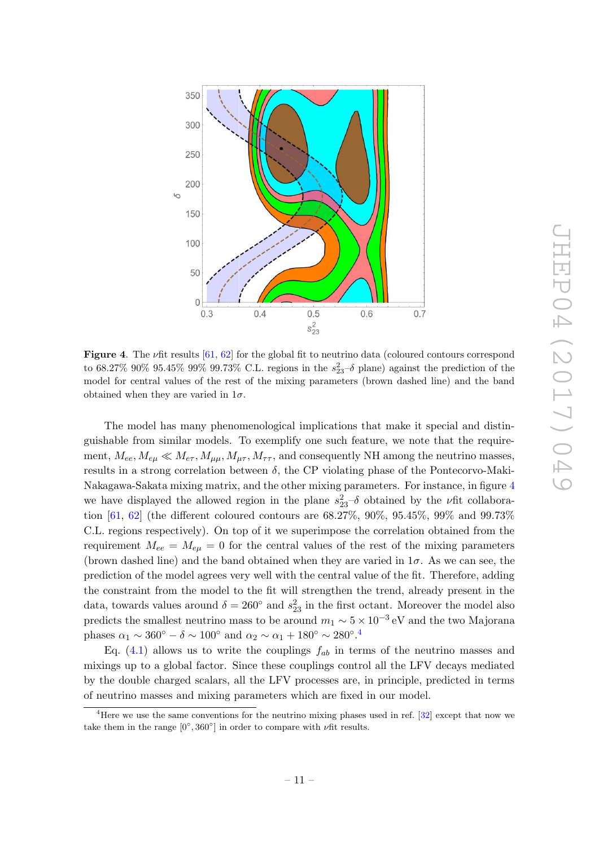

<span id="page-11-0"></span>**Figure 4**. The  $\nu$ fit results  $[61, 62]$  $[61, 62]$  for the global fit to neutrino data (coloured contours correspond to 68.27% 90% 95.45% 99% 99.73% C.L. regions in the  $s_{23}^2-\delta$  plane) against the prediction of the model for central values of the rest of the mixing parameters (brown dashed line) and the band obtained when they are varied in  $1\sigma$ .

The model has many phenomenological implications that make it special and distinguishable from similar models. To exemplify one such feature, we note that the requirement,  $M_{ee}, M_{e\mu} \ll M_{e\tau}, M_{\mu\mu}, M_{\mu\tau}, M_{\tau\tau}$ , and consequently NH among the neutrino masses, results in a strong correlation between  $\delta$ , the CP violating phase of the Pontecorvo-Maki-Nakagawa-Sakata mixing matrix, and the other mixing parameters. For instance, in figure [4](#page-11-0) we have displayed the allowed region in the plane  $s_{23}^2 - \delta$  obtained by the  $\nu$ fit collaboration [\[61,](#page-20-2) [62\]](#page-20-3) (the different coloured contours are 68.27%, 90%, 95.45%, 99% and 99.73% C.L. regions respectively). On top of it we superimpose the correlation obtained from the requirement  $M_{ee} = M_{e\mu} = 0$  for the central values of the rest of the mixing parameters (brown dashed line) and the band obtained when they are varied in  $1\sigma$ . As we can see, the prediction of the model agrees very well with the central value of the fit. Therefore, adding the constraint from the model to the fit will strengthen the trend, already present in the data, towards values around  $\delta = 260^{\circ}$  and  $s_{23}^2$  in the first octant. Moreover the model also predicts the smallest neutrino mass to be around  $m_1 \sim 5 \times 10^{-3} \,\text{eV}$  and the two Majorana phases  $\alpha_1 \sim 360^\circ - \delta \sim 100^\circ$  and  $\alpha_2 \sim \alpha_1 + 180^\circ \sim 280^\circ$ .<sup>[4](#page-11-1)</sup>

Eq.  $(4.1)$  allows us to write the couplings  $f_{ab}$  in terms of the neutrino masses and mixings up to a global factor. Since these couplings control all the LFV decays mediated by the double charged scalars, all the LFV processes are, in principle, predicted in terms of neutrino masses and mixing parameters which are fixed in our model.

<span id="page-11-1"></span><sup>&</sup>lt;sup>4</sup>Here we use the same conventions for the neutrino mixing phases used in ref. [\[32\]](#page-18-3) except that now we take them in the range  $[0^{\circ}, 360^{\circ}]$  in order to compare with  $\nu$  fit results.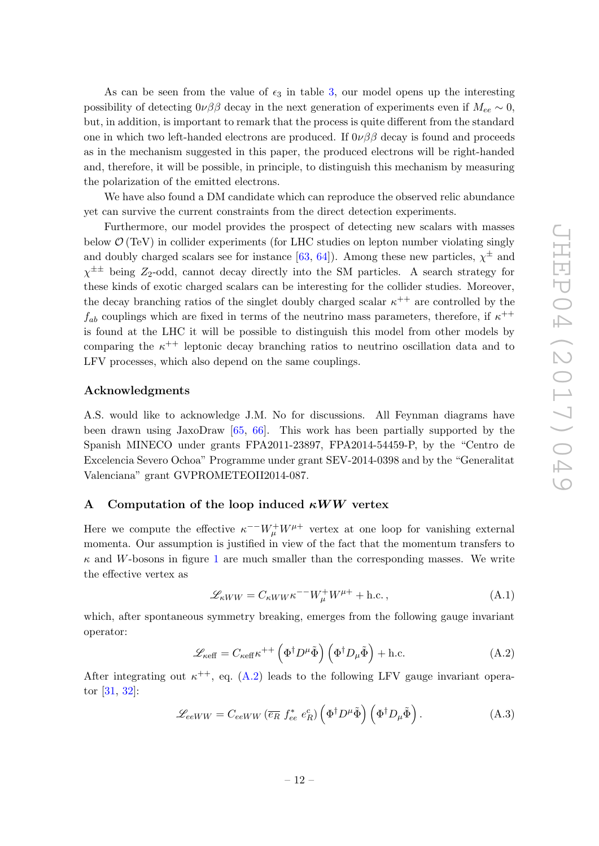As can be seen from the value of  $\epsilon_3$  in table [3,](#page-10-2) our model opens up the interesting possibility of detecting  $0\nu\beta\beta$  decay in the next generation of experiments even if  $M_{ee} \sim 0$ , but, in addition, is important to remark that the process is quite different from the standard one in which two left-handed electrons are produced. If  $0\nu\beta\beta$  decay is found and proceeds as in the mechanism suggested in this paper, the produced electrons will be right-handed and, therefore, it will be possible, in principle, to distinguish this mechanism by measuring the polarization of the emitted electrons.

We have also found a DM candidate which can reproduce the observed relic abundance yet can survive the current constraints from the direct detection experiments.

Furthermore, our model provides the prospect of detecting new scalars with masses below  $\mathcal{O}(\text{TeV})$  in collider experiments (for LHC studies on lepton number violating singly and doubly charged scalars see for instance [\[63](#page-20-4), [64\]](#page-20-5)). Among these new particles,  $\chi^{\pm}$  and  $\chi^{\pm\pm}$  being  $Z_2$ -odd, cannot decay directly into the SM particles. A search strategy for these kinds of exotic charged scalars can be interesting for the collider studies. Moreover, the decay branching ratios of the singlet doubly charged scalar  $\kappa^{++}$  are controlled by the  $f_{ab}$  couplings which are fixed in terms of the neutrino mass parameters, therefore, if  $\kappa^{++}$ is found at the LHC it will be possible to distinguish this model from other models by comparing the  $\kappa^{++}$  leptonic decay branching ratios to neutrino oscillation data and to LFV processes, which also depend on the same couplings.

## Acknowledgments

A.S. would like to acknowledge J.M. No for discussions. All Feynman diagrams have been drawn using JaxoDraw [\[65](#page-20-6) , [66\]](#page-20-7). This work has been partially supported by the Spanish MINECO under grants FPA2011-23897, FPA2014-54459-P, by the "Centro de Excelencia Severo Ochoa" Programme under grant SEV-2014-0398 and by the "Generalitat Valenciana" grant GVPROMETEOII2014-087.

## <span id="page-12-0"></span>A Computation of the loop induced  $\kappa WW$  vertex

Here we compute the effective  $\kappa^{-1} W^+_\mu W^{\mu+}$  vertex at one loop for vanishing external momenta. Our assumption is justified in view of the fact that the momentum transfers to  $\kappa$  and W-bosons in figure [1](#page-5-1) are much smaller than the corresponding masses. We write the effective vertex as

<span id="page-12-2"></span><span id="page-12-1"></span>
$$
\mathcal{L}_{\kappa WW} = C_{\kappa WW} \kappa^{--} W^+_\mu W^{\mu+} + \text{h.c.} \,, \tag{A.1}
$$

which, after spontaneous symmetry breaking, emerges from the following gauge invariant operator:

$$
\mathcal{L}_{\text{keff}} = C_{\text{keff}} \kappa^{++} \left( \Phi^{\dagger} D^{\mu} \tilde{\Phi} \right) \left( \Phi^{\dagger} D_{\mu} \tilde{\Phi} \right) + \text{h.c.}
$$
 (A.2)

After integrating out  $\kappa^{++}$ , eq. [\(A.2\)](#page-12-1) leads to the following LFV gauge invariant operator [\[31,](#page-18-2) [32\]](#page-18-3):

$$
\mathcal{L}_{eeWW} = C_{eeWW} \left( \overline{e_R} \ f_{ee}^* \ e_R^c \right) \left( \Phi^\dagger D^\mu \tilde{\Phi} \right) \left( \Phi^\dagger D_\mu \tilde{\Phi} \right). \tag{A.3}
$$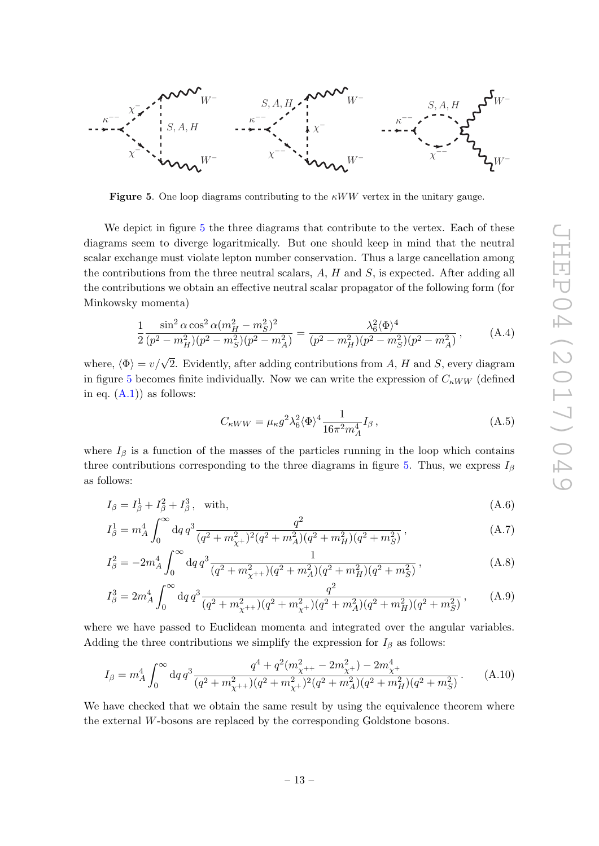

<span id="page-13-0"></span>**Figure 5.** One loop diagrams contributing to the  $\kappa WW$  vertex in the unitary gauge.

We depict in figure [5](#page-13-0) the three diagrams that contribute to the vertex. Each of these diagrams seem to diverge logaritmically. But one should keep in mind that the neutral scalar exchange must violate lepton number conservation. Thus a large cancellation among the contributions from the three neutral scalars,  $A$ ,  $H$  and  $S$ , is expected. After adding all the contributions we obtain an effective neutral scalar propagator of the following form (for Minkowsky momenta)

$$
\frac{1}{2} \frac{\sin^2 \alpha \cos^2 \alpha (m_H^2 - m_S^2)^2}{(p^2 - m_H^2)(p^2 - m_S^2)(p^2 - m_A^2)} = \frac{\lambda_6^2 \langle \Phi \rangle^4}{(p^2 - m_H^2)(p^2 - m_S^2)(p^2 - m_A^2)},\tag{A.4}
$$

where,  $\langle \Phi \rangle = v/\sqrt{2}$ . Evidently, after adding contributions from A, H and S, every diagram in figure [5](#page-13-0) becomes finite individually. Now we can write the expression of  $C_{\kappa WW}$  (defined in eq.  $(A.1)$  as follows:

$$
C_{\kappa WW} = \mu_{\kappa} g^2 \lambda_6^2 \langle \Phi \rangle^4 \frac{1}{16\pi^2 m_A^4} I_\beta \,, \tag{A.5}
$$

where  $I_{\beta}$  is a function of the masses of the particles running in the loop which contains three contributions corresponding to the three diagrams in figure [5.](#page-13-0) Thus, we express  $I_{\beta}$ as follows:

$$
I_{\beta} = I_{\beta}^1 + I_{\beta}^2 + I_{\beta}^3, \quad \text{with}, \tag{A.6}
$$

$$
I_{\beta}^{1} = m_{A}^{4} \int_{0}^{\infty} dq \, q^{3} \frac{q^{2}}{(q^{2} + m_{\chi^{+}}^{2})^{2} (q^{2} + m_{A}^{2}) (q^{2} + m_{H}^{2}) (q^{2} + m_{S}^{2})}, \tag{A.7}
$$

$$
I_{\beta}^{2} = -2m_{A}^{4} \int_{0}^{\infty} dq \, q^{3} \frac{1}{(q^{2} + m_{\chi^{++}}^{2})(q^{2} + m_{A}^{2})(q^{2} + m_{H}^{2})(q^{2} + m_{S}^{2})}, \tag{A.8}
$$

$$
I_{\beta}^{3} = 2m_{A}^{4} \int_{0}^{\infty} dq \, q^{3} \frac{q^{2}}{(q^{2} + m_{\chi^{++}}^{2})(q^{2} + m_{\chi^{+}}^{2})(q^{2} + m_{A}^{2})(q^{2} + m_{H}^{2})(q^{2} + m_{S}^{2})}, \qquad (A.9)
$$

where we have passed to Euclidean momenta and integrated over the angular variables. Adding the three contributions we simplify the expression for  $I_\beta$  as follows:

$$
I_{\beta} = m_A^4 \int_0^{\infty} dq \, q^3 \frac{q^4 + q^2 (m_{\chi^{++}}^2 - 2m_{\chi^+}^2) - 2m_{\chi^+}^4}{(q^2 + m_{\chi^{++}}^2)(q^2 + m_{\chi^+}^2)^2 (q^2 + m_A^2)(q^2 + m_H^2)(q^2 + m_S^2)}.
$$
 (A.10)

We have checked that we obtain the same result by using the equivalence theorem where the external W-bosons are replaced by the corresponding Goldstone bosons.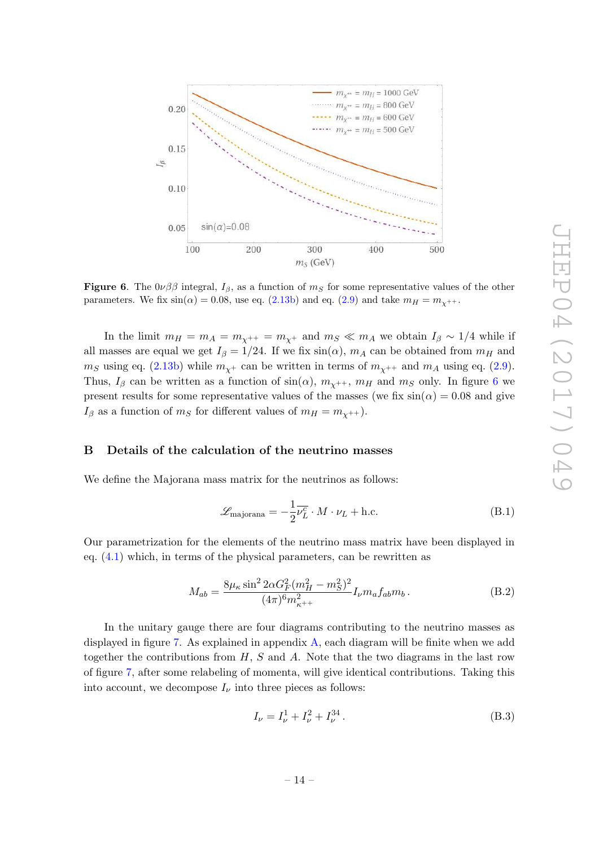

<span id="page-14-1"></span>**Figure 6.** The  $0\nu\beta\beta$  integral,  $I_{\beta}$ , as a function of  $m_S$  for some representative values of the other parameters. We fix  $\sin(\alpha) = 0.08$ , use eq.  $(2.13b)$  and eq.  $(2.9)$  and take  $m_H = m_{\chi^{++}}$ .

In the limit  $m_H = m_A = m_{\chi^{++}} = m_{\chi^+}$  and  $m_S \ll m_A$  we obtain  $I_\beta \sim 1/4$  while if all masses are equal we get  $I_\beta = 1/24$ . If we fix  $\sin(\alpha)$ ,  $m_A$  can be obtained from  $m_H$  and  $m_S$  using eq. [\(2.13b\)](#page-4-3) while  $m_{\chi^+}$  can be written in terms of  $m_{\chi^{++}}$  and  $m_A$  using eq. [\(2.9\)](#page-3-5). Thus,  $I_\beta$  can be written as a function of  $\sin(\alpha)$ ,  $m_{\chi^{++}}$ ,  $m_H$  and  $m_S$  only. In figure [6](#page-14-1) we present results for some representative values of the masses (we fix  $sin(\alpha) = 0.08$  and give  $I_\beta$  as a function of  $m_S$  for different values of  $m_H = m_{\chi^{++}}$ ).

## <span id="page-14-0"></span>B Details of the calculation of the neutrino masses

We define the Majorana mass matrix for the neutrinos as follows:

$$
\mathcal{L}_{\text{majorana}} = -\frac{1}{2}\overline{\nu_L^c} \cdot M \cdot \nu_L + \text{h.c.}
$$
 (B.1)

Our parametrization for the elements of the neutrino mass matrix have been displayed in eq. [\(4.1\)](#page-6-3) which, in terms of the physical parameters, can be rewritten as

$$
M_{ab} = \frac{8\mu_{\kappa}\sin^2 2\alpha G_F^2 (m_H^2 - m_S^2)^2}{(4\pi)^6 m_{\kappa}^2 +} I_{\nu} m_a f_{ab} m_b.
$$
 (B.2)

In the unitary gauge there are four diagrams contributing to the neutrino masses as displayed in figure [7.](#page-15-0) As explained in appendix [A,](#page-12-0) each diagram will be finite when we add together the contributions from  $H, S$  and  $A$ . Note that the two diagrams in the last row of figure [7,](#page-15-0) after some relabeling of momenta, will give identical contributions. Taking this into account, we decompose  $I_{\nu}$  into three pieces as follows:

<span id="page-14-2"></span>
$$
I_{\nu} = I_{\nu}^{1} + I_{\nu}^{2} + I_{\nu}^{34}.
$$
 (B.3)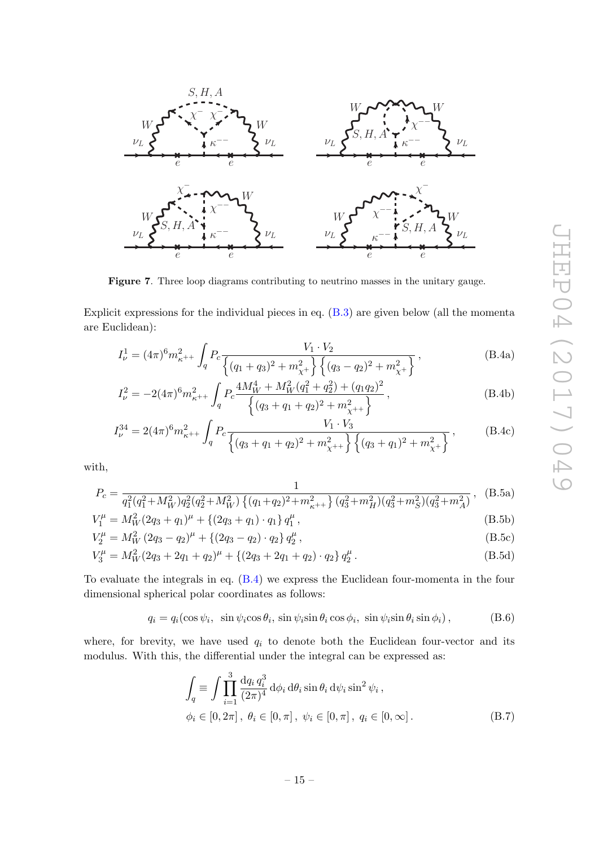

<span id="page-15-0"></span>Figure 7. Three loop diagrams contributing to neutrino masses in the unitary gauge.

Explicit expressions for the individual pieces in eq. [\(B.3\)](#page-14-2) are given below (all the momenta are Euclidean):

<span id="page-15-1"></span>
$$
I_{\nu}^{1} = (4\pi)^{6} m_{\kappa^{++}}^{2} \int_{q} P_{c} \frac{V_{1} \cdot V_{2}}{\left\{ (q_{1} + q_{3})^{2} + m_{\chi^{+}}^{2} \right\} \left\{ (q_{3} - q_{2})^{2} + m_{\chi^{+}}^{2} \right\}},
$$
(B.4a)

$$
I_{\nu}^{2} = -2(4\pi)^{6} m_{\kappa^{++}}^{2} \int_{q} P_{c} \frac{4M_{W}^{4} + M_{W}^{2}(q_{1}^{2} + q_{2}^{2}) + (q_{1}q_{2})^{2}}{\{(q_{3} + q_{1} + q_{2})^{2} + m_{\chi^{++}}^{2}\}} , \tag{B.4b}
$$

$$
I_{\nu}^{34} = 2(4\pi)^6 m_{\kappa^{++}}^2 \int_q P_c \frac{V_1 \cdot V_3}{\left\{ (q_3 + q_1 + q_2)^2 + m_{\chi^{++}}^2 \right\} \left\{ (q_3 + q_1)^2 + m_{\chi^+}^2 \right\}},
$$
(B.4c)

with,

$$
P_c = \frac{1}{q_1^2(q_1^2 + M_W^2)q_2^2(q_2^2 + M_W^2)\left\{(q_1 + q_2)^2 + m_{\kappa^{++}}^2\right\}(q_3^2 + m_H^2)(q_3^2 + m_S^2)(q_3^2 + m_A^2)},
$$
 (B.5a)

$$
V_1^{\mu} = M_W^2 (2q_3 + q_1)^{\mu} + \{(2q_3 + q_1) \cdot q_1\} q_1^{\mu}, \tag{B.5b}
$$

$$
V_2^{\mu} = M_W^2 (2q_3 - q_2)^{\mu} + \{(2q_3 - q_2) \cdot q_2\} q_2^{\mu}, \tag{B.5c}
$$

$$
V_3^{\mu} = M_W^2 (2q_3 + 2q_1 + q_2)^{\mu} + \{(2q_3 + 2q_1 + q_2) \cdot q_2\} q_2^{\mu}.
$$
 (B.5d)

To evaluate the integrals in eq. [\(B.4\)](#page-15-1) we express the Euclidean four-momenta in the four dimensional spherical polar coordinates as follows:

$$
q_i = q_i(\cos\psi_i, \ \sin\psi_i\cos\theta_i, \ \sin\psi_i\sin\theta_i\cos\phi_i, \ \sin\psi_i\sin\theta_i\sin\phi_i), \tag{B.6}
$$

where, for brevity, we have used  $q_i$  to denote both the Euclidean four-vector and its modulus. With this, the differential under the integral can be expressed as:

$$
\int_{q} \equiv \int \prod_{i=1}^{3} \frac{\mathrm{d}q_{i} q_{i}^{3}}{(2\pi)^{4}} \, \mathrm{d}\phi_{i} \, \mathrm{d}\theta_{i} \sin \theta_{i} \, \mathrm{d}\psi_{i} \sin^{2} \psi_{i},
$$
\n
$$
\phi_{i} \in [0, 2\pi], \ \theta_{i} \in [0, \pi], \ \psi_{i} \in [0, \pi], \ q_{i} \in [0, \infty].
$$
\n(B.7)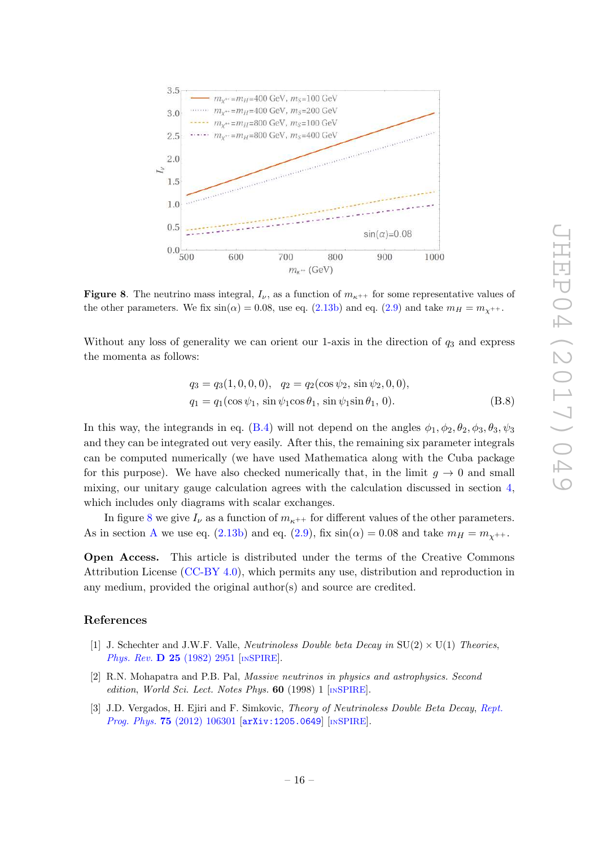

<span id="page-16-2"></span>**Figure 8**. The neutrino mass integral,  $I_{\nu}$ , as a function of  $m_{\kappa^{++}}$  for some representative values of the other parameters. We fix  $\sin(\alpha) = 0.08$ , use eq. [\(2.13b\)](#page-4-3) and eq. [\(2.9\)](#page-3-5) and take  $m_H = m_{\chi^{++}}$ .

Without any loss of generality we can orient our 1-axis in the direction of  $q_3$  and express the momenta as follows:

$$
q_3 = q_3(1, 0, 0, 0), \quad q_2 = q_2(\cos \psi_2, \sin \psi_2, 0, 0),
$$
  

$$
q_1 = q_1(\cos \psi_1, \sin \psi_1 \cos \theta_1, \sin \psi_1 \sin \theta_1, 0).
$$
 (B.8)

In this way, the integrands in eq. [\(B.4\)](#page-15-1) will not depend on the angles  $\phi_1, \phi_2, \theta_2, \phi_3, \theta_3, \psi_3$ and they can be integrated out very easily. After this, the remaining six parameter integrals can be computed numerically (we have used Mathematica along with the Cuba package for this purpose). We have also checked numerically that, in the limit  $g \to 0$  and small mixing, our unitary gauge calculation agrees with the calculation discussed in section [4](#page-6-0), which includes only diagrams with scalar exchanges.

In figure [8](#page-16-2) we give  $I_{\nu}$  as a function of  $m_{\kappa^{++}}$  for different values of the other parameters. [A](#page-12-0)s in section A we use eq. [\(2.13b\)](#page-4-3) and eq. [\(2.9\)](#page-3-5), fix  $sin(\alpha) = 0.08$  and take  $m_H = m_{\chi^{++}}$ .

Open Access. This article is distributed under the terms of the Creative Commons Attribution License [\(CC-BY 4.0\)](http://creativecommons.org/licenses/by/4.0/), which permits any use, distribution and reproduction in any medium, provided the original author(s) and source are credited.

#### References

- <span id="page-16-0"></span>[1] J. Schechter and J.W.F. Valle, *Neutrinoless Double beta Decay in*  $SU(2) \times U(1)$  *Theories*, Phys. Rev. **D 25** [\(1982\) 2951](http://dx.doi.org/10.1103/PhysRevD.25.2951) [IN[SPIRE](http://inspirehep.net/search?p=find+J+%22Phys.Rev.,D25,2951%22)].
- [2] R.N. Mohapatra and P.B. Pal, Massive neutrinos in physics and astrophysics. Second edition, World Sci. Lect. Notes Phys.  $60$  (1998) 1 [IN[SPIRE](http://inspirehep.net/search?p=find+IRN+4842154)].
- <span id="page-16-1"></span>[3] J.D. Vergados, H. Ejiri and F. Simkovic, Theory of Neutrinoless Double Beta Decay, [Rept.](http://dx.doi.org/10.1088/0034-4885/75/10/106301) Prog. Phys. 75 [\(2012\) 106301](http://dx.doi.org/10.1088/0034-4885/75/10/106301) [[arXiv:1205.0649](https://arxiv.org/abs/1205.0649)] [IN[SPIRE](http://inspirehep.net/search?p=find+EPRINT+arXiv:1205.0649)].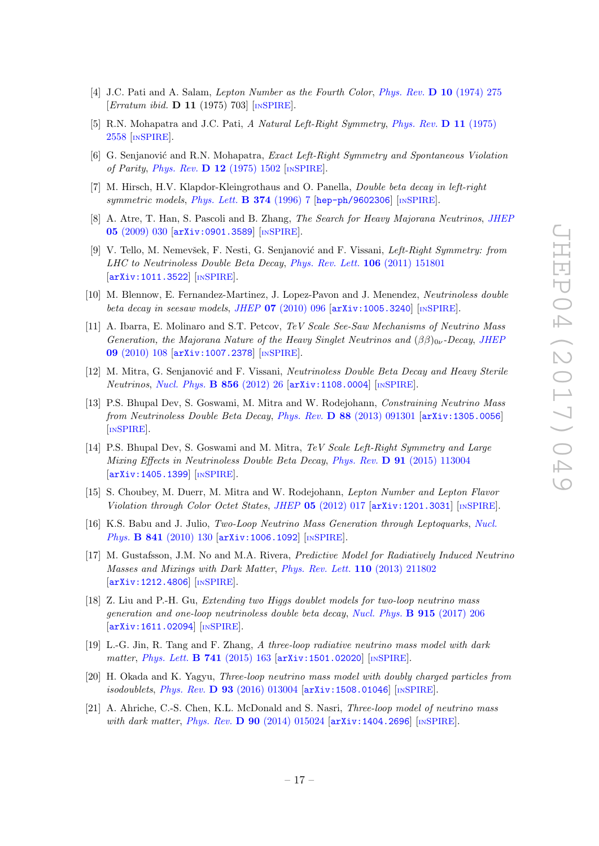- <span id="page-17-0"></span> $[4]$  J.C. Pati and A. Salam, Lepton Number as the Fourth Color, [Phys. Rev.](http://dx.doi.org/10.1103/PhysRevD.10.275) D 10 (1974) 275 [*Erratum ibid.* **D 11** (1975) 703] [IN[SPIRE](http://inspirehep.net/search?p=find+J+%22Phys.Rev.,D10,275%22)].
- [5] R.N. Mohapatra and J.C. Pati, A Natural Left-Right Symmetry, [Phys. Rev.](http://dx.doi.org/10.1103/PhysRevD.11.2558) D 11 (1975) [2558](http://dx.doi.org/10.1103/PhysRevD.11.2558) [IN[SPIRE](http://inspirehep.net/search?p=find+J+%22Phys.Rev.,D11,2558%22)].
- [6] G. Senjanović and R.N. Mohapatra, *Exact Left-Right Symmetry and Spontaneous Violation* of Parity, Phys. Rev. **D 12** [\(1975\) 1502](http://dx.doi.org/10.1103/PhysRevD.12.1502) [IN[SPIRE](http://inspirehep.net/search?p=find+J+%22Phys.Rev.,D12,1502%22)].
- [7] M. Hirsch, H.V. Klapdor-Kleingrothaus and O. Panella, Double beta decay in left-right symmetric models, [Phys. Lett.](http://dx.doi.org/10.1016/0370-2693(96)00185-2) **B 374** (1996) 7 [[hep-ph/9602306](https://arxiv.org/abs/hep-ph/9602306)] [IN[SPIRE](http://inspirehep.net/search?p=find+EPRINT+hep-ph/9602306)].
- [8] A. Atre, T. Han, S. Pascoli and B. Zhang, *The Search for Heavy Majorana Neutrinos*, *JHEF* 05 [\(2009\) 030](http://dx.doi.org/10.1088/1126-6708/2009/05/030) [[arXiv:0901.3589](https://arxiv.org/abs/0901.3589)] [IN[SPIRE](http://inspirehep.net/search?p=find+EPRINT+arXiv:0901.3589)].
- [9] V. Tello, M. Nemevšek, F. Nesti, G. Senjanović and F. Vissani, Left-Right Symmetry: from LHC to Neutrinoless Double Beta Decay, *[Phys. Rev. Lett.](http://dx.doi.org/10.1103/PhysRevLett.106.151801)* **106** (2011) 151801 [[arXiv:1011.3522](https://arxiv.org/abs/1011.3522)] [IN[SPIRE](http://inspirehep.net/search?p=find+EPRINT+arXiv:1011.3522)].
- [10] M. Blennow, E. Fernandez-Martinez, J. Lopez-Pavon and J. Menendez, Neutrinoless double beta decay in seesaw models, JHEP 07 [\(2010\) 096](http://dx.doi.org/10.1007/JHEP07(2010)096) [[arXiv:1005.3240](https://arxiv.org/abs/1005.3240)] [IN[SPIRE](http://inspirehep.net/search?p=find+EPRINT+arXiv:1005.3240)].
- [11] A. Ibarra, E. Molinaro and S.T. Petcov, TeV Scale See-Saw Mechanisms of Neutrino Mass Generation, the Majorana Nature of the Heavy Singlet Neutrinos and  $(\beta\beta)_{0\nu}$ -Decay, JHEF 09 [\(2010\) 108](http://dx.doi.org/10.1007/JHEP09(2010)108) [[arXiv:1007.2378](https://arxiv.org/abs/1007.2378)] [IN[SPIRE](http://inspirehep.net/search?p=find+EPRINT+arXiv:1007.2378)].
- [12] M. Mitra, G. Senjanović and F. Vissani, Neutrinoless Double Beta Decay and Heavy Sterile Neutrinos, [Nucl. Phys.](http://dx.doi.org/10.1016/j.nuclphysb.2011.10.035) **B 856** (2012) 26 [[arXiv:1108.0004](https://arxiv.org/abs/1108.0004)] [IN[SPIRE](http://inspirehep.net/search?p=find+EPRINT+arXiv:1108.0004)].
- [13] P.S. Bhupal Dev, S. Goswami, M. Mitra and W. Rodejohann, Constraining Neutrino Mass from Neutrinoless Double Beta Decay, Phys. Rev.  $D$  88 [\(2013\) 091301](http://dx.doi.org/10.1103/PhysRevD.88.091301) [[arXiv:1305.0056](https://arxiv.org/abs/1305.0056)] [IN[SPIRE](http://inspirehep.net/search?p=find+EPRINT+arXiv:1305.0056)].
- [14] P.S. Bhupal Dev, S. Goswami and M. Mitra, TeV Scale Left-Right Symmetry and Large Mixing Effects in Neutrinoless Double Beta Decay, Phys. Rev. D 91 [\(2015\) 113004](http://dx.doi.org/10.1103/PhysRevD.91.113004) [[arXiv:1405.1399](https://arxiv.org/abs/1405.1399)] [IN[SPIRE](http://inspirehep.net/search?p=find+EPRINT+arXiv:1405.1399)].
- [15] S. Choubey, M. Duerr, M. Mitra and W. Rodejohann, Lepton Number and Lepton Flavor Violation through Color Octet States, JHEP 05 [\(2012\) 017](http://dx.doi.org/10.1007/JHEP05(2012)017) [[arXiv:1201.3031](https://arxiv.org/abs/1201.3031)] [IN[SPIRE](http://inspirehep.net/search?p=find+EPRINT+arXiv:1201.3031)].
- [16] K.S. Babu and J. Julio, Two-Loop Neutrino Mass Generation through Leptoquarks, [Nucl.](http://dx.doi.org/10.1016/j.nuclphysb.2010.07.022) Phys. **B 841** [\(2010\) 130](http://dx.doi.org/10.1016/j.nuclphysb.2010.07.022) [[arXiv:1006.1092](https://arxiv.org/abs/1006.1092)] [IN[SPIRE](http://inspirehep.net/search?p=find+EPRINT+arXiv:1006.1092)].
- [17] M. Gustafsson, J.M. No and M.A. Rivera, Predictive Model for Radiatively Induced Neutrino Masses and Mixings with Dark Matter , [Phys. Rev. Lett.](http://dx.doi.org/10.1103/PhysRevLett.110.211802) 110 (2013) 211802 [[arXiv:1212.4806](https://arxiv.org/abs/1212.4806)] [IN[SPIRE](http://inspirehep.net/search?p=find+EPRINT+arXiv:1212.4806)].
- [18] Z. Liu and P.-H. Gu, Extending two Higgs doublet models for two-loop neutrino mass generation and one-loop neutrinoless double beta decay, [Nucl. Phys.](http://dx.doi.org/10.1016/j.nuclphysb.2016.12.001) **B** 915 (2017) 206 [[arXiv:1611.02094](https://arxiv.org/abs/1611.02094)] [IN[SPIRE](http://inspirehep.net/search?p=find+EPRINT+arXiv:1611.02094)].
- [19] L.-G. Jin, R. Tang and F. Zhang, A three-loop radiative neutrino mass model with dark matter, [Phys. Lett.](http://dx.doi.org/10.1016/j.physletb.2014.12.034) **B 741** (2015) 163 [[arXiv:1501.02020](https://arxiv.org/abs/1501.02020)] [IN[SPIRE](http://inspirehep.net/search?p=find+EPRINT+arXiv:1501.02020)].
- [20] H. Okada and K. Yagyu, Three-loop neutrino mass model with doubly charged particles from isodoublets, *Phys. Rev.* **D 93** [\(2016\) 013004](http://dx.doi.org/10.1103/PhysRevD.93.013004) [[arXiv:1508.01046](https://arxiv.org/abs/1508.01046)] [IN[SPIRE](http://inspirehep.net/search?p=find+EPRINT+arXiv:1508.01046)].
- [21] A. Ahriche, C.-S. Chen, K.L. McDonald and S. Nasri, Three-loop model of neutrino mass with dark matter, Phys. Rev. D 90 [\(2014\) 015024](http://dx.doi.org/10.1103/PhysRevD.90.015024) [[arXiv:1404.2696](https://arxiv.org/abs/1404.2696)] [IN[SPIRE](http://inspirehep.net/search?p=find+EPRINT+arXiv:1404.2696)].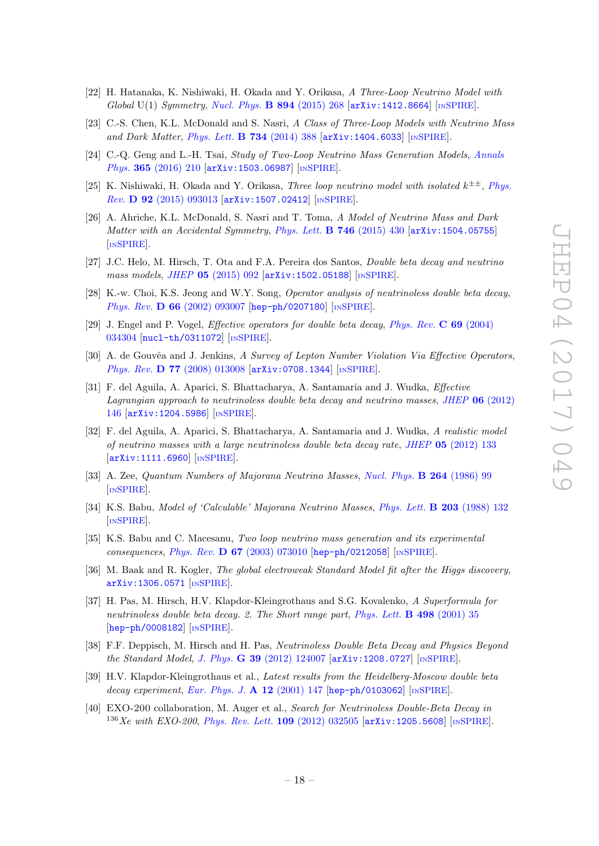- [22] H. Hatanaka, K. Nishiwaki, H. Okada and Y. Orikasa, A Three-Loop Neutrino Model with Global U(1) Symmetry, [Nucl. Phys.](http://dx.doi.org/10.1016/j.nuclphysb.2015.03.006) **B 894** (2015) 268 [[arXiv:1412.8664](https://arxiv.org/abs/1412.8664)] [IN[SPIRE](http://inspirehep.net/search?p=find+EPRINT+arXiv:1412.8664)].
- [23] C.-S. Chen, K.L. McDonald and S. Nasri, A Class of Three-Loop Models with Neutrino Mass and Dark Matter, [Phys. Lett.](http://dx.doi.org/10.1016/j.physletb.2014.05.082) **B 734** (2014) 388 [[arXiv:1404.6033](https://arxiv.org/abs/1404.6033)] [IN[SPIRE](http://inspirehep.net/search?p=find+EPRINT+arXiv:1404.6033)].
- [24] C.-Q. Geng and L.-H. Tsai, *Study of Two-Loop Neutrino Mass Generation Models*, *[Annals](http://dx.doi.org/10.1016/j.aop.2015.11.010)* Phys. 365 [\(2016\) 210](http://dx.doi.org/10.1016/j.aop.2015.11.010) [arXiv: 1503.06987] [IN[SPIRE](http://inspirehep.net/search?p=find+EPRINT+arXiv:1503.06987)].
- [25] K. Nishiwaki, H. Okada and Y. Orikasa, Three loop neutrino model with isolated  $k^{\pm\pm}$ , [Phys.](http://dx.doi.org/10.1103/PhysRevD.92.093013) Rev. **D 92** [\(2015\) 093013](http://dx.doi.org/10.1103/PhysRevD.92.093013) [[arXiv:1507.02412](https://arxiv.org/abs/1507.02412)] [IN[SPIRE](http://inspirehep.net/search?p=find+EPRINT+arXiv:1507.02412)].
- <span id="page-18-0"></span>[26] A. Ahriche, K.L. McDonald, S. Nasri and T. Toma, A Model of Neutrino Mass and Dark Matter with an Accidental Symmetry, [Phys. Lett.](http://dx.doi.org/10.1016/j.physletb.2015.05.031) **B 746** (2015) 430 [arXiv: 1504.05755] [IN[SPIRE](http://inspirehep.net/search?p=find+EPRINT+arXiv:1504.05755)].
- <span id="page-18-4"></span>[27] J.C. Helo, M. Hirsch, T. Ota and F.A. Pereira dos Santos, Double beta decay and neutrino mass models, JHEP 05 [\(2015\) 092](http://dx.doi.org/10.1007/JHEP05(2015)092) [[arXiv:1502.05188](https://arxiv.org/abs/1502.05188)] [IN[SPIRE](http://inspirehep.net/search?p=find+EPRINT+arXiv:1502.05188)].
- <span id="page-18-1"></span>[28] K.-w. Choi, K.S. Jeong and W.Y. Song, *Operator analysis of neutrinoless double beta decay*, Phys. Rev. D 66 [\(2002\) 093007](http://dx.doi.org/10.1103/PhysRevD.66.093007) [[hep-ph/0207180](https://arxiv.org/abs/hep-ph/0207180)] [IN[SPIRE](http://inspirehep.net/search?p=find+EPRINT+hep-ph/0207180)].
- [29] J. Engel and P. Vogel, *Effective operators for double beta decay*, *[Phys. Rev.](http://dx.doi.org/10.1103/PhysRevC.69.034304)* C 69 (2004) [034304](http://dx.doi.org/10.1103/PhysRevC.69.034304) [[nucl-th/0311072](https://arxiv.org/abs/nucl-th/0311072)] [IN[SPIRE](http://inspirehep.net/search?p=find+EPRINT+nucl-th/0311072)].
- [30] A. de Gouvêa and J. Jenkins, A Survey of Lepton Number Violation Via Effective Operators, Phys. Rev. **D 77** [\(2008\) 013008](http://dx.doi.org/10.1103/PhysRevD.77.013008) [arXiv: 0708.1344] [IN[SPIRE](http://inspirehep.net/search?p=find+EPRINT+arXiv:0708.1344)].
- <span id="page-18-2"></span>[31] F. del Aguila, A. Aparici, S. Bhattacharya, A. Santamaria and J. Wudka, Effective Lagrangian approach to neutrinoless double beta decay and neutrino masses, JHEP  $06$  [\(2012\)](http://dx.doi.org/10.1007/JHEP06(2012)146) [146](http://dx.doi.org/10.1007/JHEP06(2012)146) [[arXiv:1204.5986](https://arxiv.org/abs/1204.5986)] [IN[SPIRE](http://inspirehep.net/search?p=find+EPRINT+arXiv:1204.5986)].
- <span id="page-18-3"></span>[32] F. del Aguila, A. Aparici, S. Bhattacharya, A. Santamaria and J. Wudka, A realistic model of neutrino masses with a large neutrinoless double beta decay rate, JHEP 05 [\(2012\) 133](http://dx.doi.org/10.1007/JHEP05(2012)133) [[arXiv:1111.6960](https://arxiv.org/abs/1111.6960)] [IN[SPIRE](http://inspirehep.net/search?p=find+EPRINT+arXiv:1111.6960)].
- <span id="page-18-5"></span>[33] A. Zee, Quantum Numbers of Majorana Neutrino Masses, [Nucl. Phys.](http://dx.doi.org/10.1016/0550-3213(86)90475-X) **B 264** (1986) 99 [IN[SPIRE](http://inspirehep.net/search?p=find+J+%22Nucl.Phys.,B264,99%22)].
- [34] K.S. Babu, Model of 'Calculable' Majorana Neutrino Masses, [Phys. Lett.](http://dx.doi.org/10.1016/0370-2693(88)91584-5) **B 203** (1988) 132 [IN[SPIRE](http://inspirehep.net/search?p=find+J+%22Phys.Lett.,B203,132%22)].
- <span id="page-18-6"></span>[35] K.S. Babu and C. Macesanu, Two loop neutrino mass generation and its experimental consequences, *Phys. Rev.* **D 67** [\(2003\) 073010](http://dx.doi.org/10.1103/PhysRevD.67.073010) [[hep-ph/0212058](https://arxiv.org/abs/hep-ph/0212058)] [IN[SPIRE](http://inspirehep.net/search?p=find+EPRINT+hep-ph/0212058)].
- <span id="page-18-7"></span>[36] M. Baak and R. Kogler, The global electroweak Standard Model fit after the Higgs discovery, [arXiv:1306.0571](https://arxiv.org/abs/1306.0571) [IN[SPIRE](http://inspirehep.net/search?p=find+EPRINT+arXiv:1306.0571)].
- <span id="page-18-8"></span>[37] H. Pas, M. Hirsch, H.V. Klapdor-Kleingrothaus and S.G. Kovalenko, A Superformula for neutrinoless double beta decay. 2. The Short range part, [Phys. Lett.](http://dx.doi.org/10.1016/S0370-2693(00)01359-9) **B 498** (2001) 35 [[hep-ph/0008182](https://arxiv.org/abs/hep-ph/0008182)] [IN[SPIRE](http://inspirehep.net/search?p=find+EPRINT+hep-ph/0008182)].
- <span id="page-18-9"></span>[38] F.F. Deppisch, M. Hirsch and H. Pas, Neutrinoless Double Beta Decay and Physics Beyond the Standard Model, J. Phys. G 39 [\(2012\) 124007](http://dx.doi.org/10.1088/0954-3899/39/12/124007) [[arXiv:1208.0727](https://arxiv.org/abs/1208.0727)] [IN[SPIRE](http://inspirehep.net/search?p=find+EPRINT+arXiv:1208.0727)].
- <span id="page-18-10"></span>[39] H.V. Klapdor-Kleingrothaus et al., Latest results from the Heidelberg-Moscow double beta decay experiment, [Eur. Phys. J.](http://dx.doi.org/10.1007/s100500170022) A 12 (2001) 147 [[hep-ph/0103062](https://arxiv.org/abs/hep-ph/0103062)] [IN[SPIRE](http://inspirehep.net/search?p=find+EPRINT+hep-ph/0103062)].
- <span id="page-18-11"></span>[40] EXO-200 collaboration, M. Auger et al., Search for Neutrinoless Double-Beta Decay in  $^{136}Xe$  with EXO-200, [Phys. Rev. Lett.](http://dx.doi.org/10.1103/PhysRevLett.109.032505) 109 (2012) 032505 [arXiv: 1205.5608] [IN[SPIRE](http://inspirehep.net/search?p=find+EPRINT+arXiv:1205.5608)].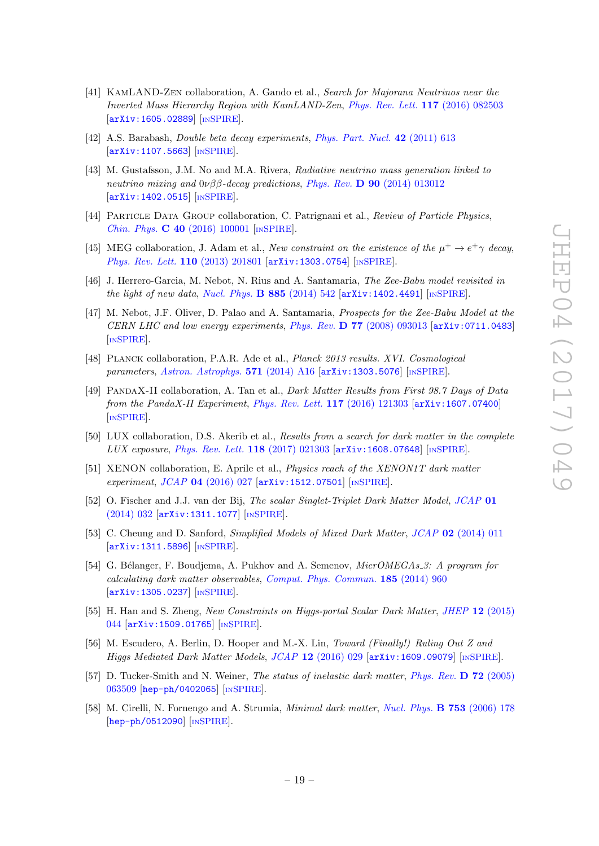- <span id="page-19-0"></span>[41] KamLAND-Zen collaboration, A. Gando et al., Search for Majorana Neutrinos near the Inverted Mass Hierarchy Region with KamLAND-Zen , [Phys. Rev. Lett.](http://dx.doi.org/10.1103/PhysRevLett.117.109903) 117 (2016) 082503 [[arXiv:1605.02889](https://arxiv.org/abs/1605.02889)] [IN[SPIRE](http://inspirehep.net/search?p=find+EPRINT+arXiv:1605.02889)].
- <span id="page-19-1"></span>[42] A.S. Barabash, Double beta decay experiments , [Phys. Part. Nucl.](http://dx.doi.org/10.1134/S1063779611040022) 42 (2011) 613 [[arXiv:1107.5663](https://arxiv.org/abs/1107.5663)] [IN[SPIRE](http://inspirehep.net/search?p=find+EPRINT+arXiv:1107.5663)].
- <span id="page-19-2"></span>[43] M. Gustafsson, J.M. No and M.A. Rivera, Radiative neutrino mass generation linked to neutrino mixing and  $0\nu\beta\beta$ -decay predictions, Phys. Rev. **D** 90 [\(2014\) 013012](http://dx.doi.org/10.1103/PhysRevD.90.013012) [[arXiv:1402.0515](https://arxiv.org/abs/1402.0515)] [IN[SPIRE](http://inspirehep.net/search?p=find+EPRINT+arXiv:1402.0515)].
- <span id="page-19-3"></span>[44] PARTICLE DATA GROUP collaboration, C. Patrignani et al., Review of Particle Physics, Chin. Phys. C 40 [\(2016\) 100001](http://dx.doi.org/10.1088/1674-1137/40/10/100001) [IN[SPIRE](http://inspirehep.net/search?p=find+J+%22Chin.Phys.,C40,100001%22)].
- <span id="page-19-4"></span>[45] MEG collaboration, J. Adam et al., New constraint on the existence of the  $\mu^+ \to e^+ \gamma$  decay, [Phys. Rev. Lett.](http://dx.doi.org/10.1103/PhysRevLett.110.201801) 110 (2013) 201801 [[arXiv:1303.0754](https://arxiv.org/abs/1303.0754)] [IN[SPIRE](http://inspirehep.net/search?p=find+EPRINT+arXiv:1303.0754)].
- <span id="page-19-5"></span>[46] J. Herrero-Garcia, M. Nebot, N. Rius and A. Santamaria, The Zee-Babu model revisited in the light of new data, [Nucl. Phys.](http://dx.doi.org/10.1016/j.nuclphysb.2014.06.001) **B** 885 (2014) 542  $[$ [arXiv:1402.4491](https://arxiv.org/abs/1402.4491) $]$   $[$ IN[SPIRE](http://inspirehep.net/search?p=find+EPRINT+arXiv:1402.4491) $]$ .
- <span id="page-19-6"></span>[47] M. Nebot, J.F. Oliver, D. Palao and A. Santamaria, Prospects for the Zee-Babu Model at the CERN LHC and low energy experiments, Phys. Rev.  $D 77$  [\(2008\) 093013](http://dx.doi.org/10.1103/PhysRevD.77.093013) [arXiv: 0711.0483] [IN[SPIRE](http://inspirehep.net/search?p=find+EPRINT+arXiv:0711.0483)].
- <span id="page-19-7"></span>[48] Planck collaboration, P.A.R. Ade et al., Planck 2013 results. XVI. Cosmological parameters, [Astron. Astrophys.](http://dx.doi.org/10.1051/0004-6361/201321591) 571 (2014) A16 [[arXiv:1303.5076](https://arxiv.org/abs/1303.5076)] [IN[SPIRE](http://inspirehep.net/search?p=find+EPRINT+arXiv:1303.5076)].
- <span id="page-19-15"></span>[49] PandaX-II collaboration, A. Tan et al., Dark Matter Results from First 98.7 Days of Data from the PandaX-II Experiment, [Phys. Rev. Lett.](http://dx.doi.org/10.1103/PhysRevLett.117.121303) 117 (2016) 121303 [[arXiv:1607.07400](https://arxiv.org/abs/1607.07400)] [IN[SPIRE](http://inspirehep.net/search?p=find+EPRINT+arXiv:1607.07400)].
- <span id="page-19-16"></span>[50] LUX collaboration, D.S. Akerib et al., Results from a search for dark matter in the complete LUX exposure, *[Phys. Rev. Lett.](http://dx.doi.org/10.1103/PhysRevLett.118.021303)* **118** (2017) 021303 [[arXiv:1608.07648](https://arxiv.org/abs/1608.07648)] [IN[SPIRE](http://inspirehep.net/search?p=find+EPRINT+arXiv:1608.07648)].
- <span id="page-19-17"></span>[51] XENON collaboration, E. Aprile et al., *Physics reach of the XENON1T dark matter* experiment, JCAP 04 [\(2016\) 027](http://dx.doi.org/10.1088/1475-7516/2016/04/027) [[arXiv:1512.07501](https://arxiv.org/abs/1512.07501)] [IN[SPIRE](http://inspirehep.net/search?p=find+EPRINT+arXiv:1512.07501)].
- <span id="page-19-11"></span>[52] O. Fischer and J.J. van der Bij, The scalar Singlet-Triplet Dark Matter Model, [JCAP](http://dx.doi.org/10.1088/1475-7516/2014/01/032) 01 [\(2014\) 032](http://dx.doi.org/10.1088/1475-7516/2014/01/032) [[arXiv:1311.1077](https://arxiv.org/abs/1311.1077)] [IN[SPIRE](http://inspirehep.net/search?p=find+EPRINT+arXiv:1311.1077)].
- <span id="page-19-12"></span>[53] C. Cheung and D. Sanford, *Simplified Models of Mixed Dark Matter*, *JCAP* 02 [\(2014\) 011](http://dx.doi.org/10.1088/1475-7516/2014/02/011) [[arXiv:1311.5896](https://arxiv.org/abs/1311.5896)] [IN[SPIRE](http://inspirehep.net/search?p=find+EPRINT+arXiv:1311.5896)].
- <span id="page-19-8"></span>[54] G. Bélanger, F. Boudjema, A. Pukhov and A. Semenov, *MicrOMEGAs 3: A program for* calculating dark matter observables , [Comput. Phys. Commun.](http://dx.doi.org/10.1016/j.cpc.2013.10.016) 185 (2014) 960 [[arXiv:1305.0237](https://arxiv.org/abs/1305.0237)] [IN[SPIRE](http://inspirehep.net/search?p=find+EPRINT+arXiv:1305.0237)].
- <span id="page-19-9"></span>[55] H. Han and S. Zheng, New Constraints on Higgs-portal Scalar Dark Matter, JHEP 12 [\(2015\)](http://dx.doi.org/10.1007/JHEP12(2015)044) [044](http://dx.doi.org/10.1007/JHEP12(2015)044) [[arXiv:1509.01765](https://arxiv.org/abs/1509.01765)] [IN[SPIRE](http://inspirehep.net/search?p=find+EPRINT+arXiv:1509.01765)].
- <span id="page-19-10"></span>[56] M. Escudero, A. Berlin, D. Hooper and M.-X. Lin, Toward (Finally!) Ruling Out Z and Higgs Mediated Dark Matter Models, JCAP 12 [\(2016\) 029](http://dx.doi.org/10.1088/1475-7516/2016/12/029) [[arXiv:1609.09079](https://arxiv.org/abs/1609.09079)] [IN[SPIRE](http://inspirehep.net/search?p=find+EPRINT+arXiv:1609.09079)].
- <span id="page-19-13"></span>[57] D. Tucker-Smith and N. Weiner, *The status of inelastic dark matter*, *[Phys. Rev.](http://dx.doi.org/10.1103/PhysRevD.72.063509)* D 72 (2005) [063509](http://dx.doi.org/10.1103/PhysRevD.72.063509) [[hep-ph/0402065](https://arxiv.org/abs/hep-ph/0402065)] [IN[SPIRE](http://inspirehep.net/search?p=find+EPRINT+hep-ph/0402065)].
- <span id="page-19-14"></span>[58] M. Cirelli, N. Fornengo and A. Strumia, *Minimal dark matter*, *[Nucl. Phys.](http://dx.doi.org/10.1016/j.nuclphysb.2006.07.012)* **B 753** (2006) 178 [[hep-ph/0512090](https://arxiv.org/abs/hep-ph/0512090)] [IN[SPIRE](http://inspirehep.net/search?p=find+EPRINT+hep-ph/0512090)].